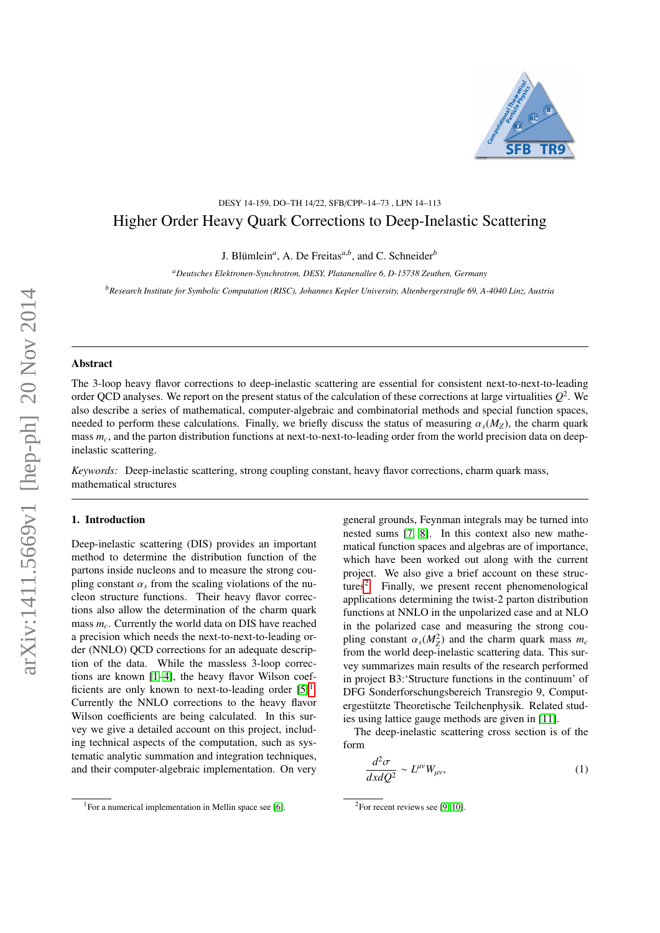

## DESY 14-159, DO–TH 14/22, SFB/CPP–14–73 , LPN 14–113 Higher Order Heavy Quark Corrections to Deep-Inelastic Scattering

J. Blümlein<sup>*a*</sup>, A. De Freitas<sup>*a,b*</sup>, and C. Schneider<sup>*b*</sup>

*<sup>a</sup>Deutsches Elektronen-Synchrotron, DESY, Platanenallee 6, D-15738 Zeuthen, Germany*

*<sup>b</sup>Research Institute for Symbolic Computation (RISC), Johannes Kepler University, Altenbergerstraße 69, A-4040 Linz, Austria*

### Abstract

The 3-loop heavy flavor corrections to deep-inelastic scattering are essential for consistent next-to-next-to-leading order QCD analyses. We report on the present status of the calculation of these corrections at large virtualities  $Q^2$ . We also describe a series of mathematical, computer-algebraic and combinatorial methods and special function spaces, needed to perform these calculations. Finally, we briefly discuss the status of measuring  $\alpha_s(M_Z)$ , the charm quark mass  $m<sub>c</sub>$ , and the parton distribution functions at next-to-next-to-leading order from the world precision data on deepinelastic scattering.

*Keywords:* Deep-inelastic scattering, strong coupling constant, heavy flavor corrections, charm quark mass, mathematical structures

## 1. Introduction

Deep-inelastic scattering (DIS) provides an important method to determine the distribution function of the partons inside nucleons and to measure the strong coupling constant  $\alpha_s$  from the scaling violations of the nucleon structure functions. Their heavy flavor corrections also allow the determination of the charm quark mass *mc*. Currently the world data on DIS have reached a precision which needs the next-to-next-to-leading order (NNLO) QCD corrections for an adequate description of the data. While the massless 3-loop corrections are known [\[1–](#page-13-0)[4\]](#page-13-1), the heavy flavor Wilson coefficients are only known to next-to-leading order  $[5]$ <sup>[1](#page-0-0)</sup>. Currently the NNLO corrections to the heavy flavor Wilson coefficients are being calculated. In this survey we give a detailed account on this project, including technical aspects of the computation, such as systematic analytic summation and integration techniques, and their computer-algebraic implementation. On very general grounds, Feynman integrals may be turned into nested sums [\[7,](#page-13-4) [8\]](#page-13-5). In this context also new mathematical function spaces and algebras are of importance, which have been worked out along with the current project. We also give a brief account on these struc-tures<sup>[2](#page-0-1)</sup>. Finally, we present recent phenomenological applications determining the twist-2 parton distribution functions at NNLO in the unpolarized case and at NLO in the polarized case and measuring the strong coupling constant  $\alpha_s(M_Z^2)$  and the charm quark mass  $m_c$ <br>from the world deen-inelastic scattering data. This surfrom the world deep-inelastic scattering data. This survey summarizes main results of the research performed in project B3:'Structure functions in the continuum' of DFG Sonderforschungsbereich Transregio 9, Computergestützte Theoretische Teilchenphysik. Related studies using lattice gauge methods are given in [\[11\]](#page-13-6).

The deep-inelastic scattering cross section is of the form

$$
\frac{d^2\sigma}{dx dQ^2} \sim L^{\mu\nu} W_{\mu\nu},\tag{1}
$$

<span id="page-0-0"></span><sup>&</sup>lt;sup>1</sup> For a numerical implementation in Mellin space see [\[6\]](#page-13-3).

<span id="page-0-1"></span> ${}^{2}$ For recent reviews see [\[9,](#page-13-7) [10\]](#page-13-8).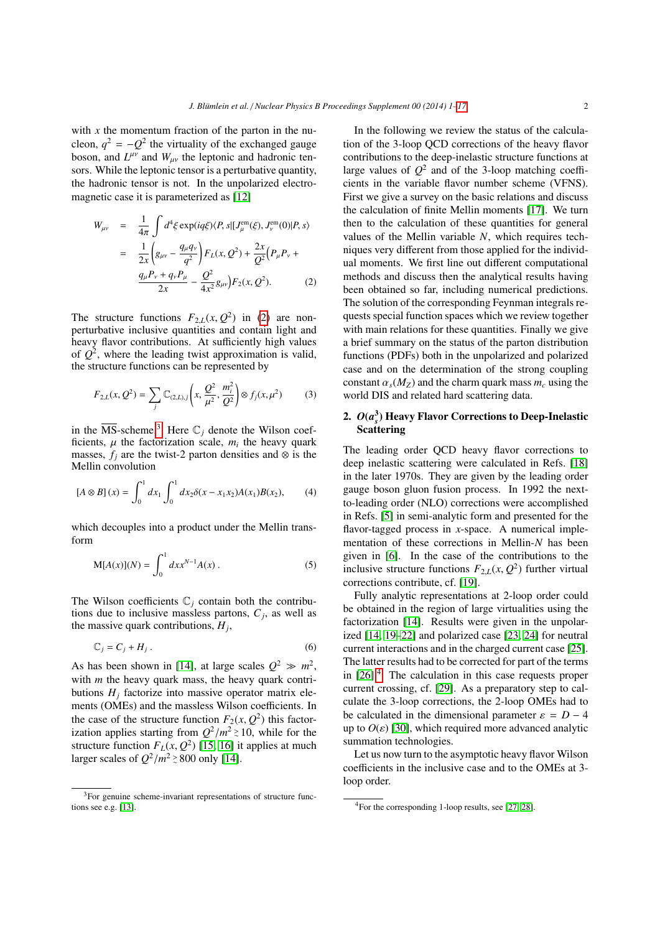with  $x$  the momentum fraction of the parton in the nucleon,  $q^2 = -Q^2$  the virtuality of the exchanged gauge boson, and  $L^{\mu\nu}$  and  $W_{\mu\nu}$  the leptonic and hadronic ten-<br>come While the logitoric tensor is a porturbative quantity sors. While the leptonic tensor is a perturbative quantity, the hadronic tensor is not. In the unpolarized electromagnetic case it is parameterized as [\[12\]](#page-13-10)

<span id="page-1-0"></span>
$$
W_{\mu\nu} = \frac{1}{4\pi} \int d^4 \xi \exp(iq\xi) \langle P, s | [J_{\mu}^{\text{em}}(\xi), J_{\nu}^{\text{em}}(0)|P, s \rangle
$$
  

$$
= \frac{1}{2x} \left( g_{\mu\nu} - \frac{q_{\mu}q_{\nu}}{q^2} \right) F_L(x, Q^2) + \frac{2x}{Q^2} \left( P_{\mu} P_{\nu} + \frac{q_{\mu}P_{\nu} + q_{\nu}P_{\mu}}{2x} - \frac{Q^2}{4x^2} g_{\mu\nu} \right) F_2(x, Q^2). \tag{2}
$$

The structure functions  $F_{2,L}(x, Q^2)$  in [\(2\)](#page-1-0) are non-<br>perturbative inclusive quantities and contain light and perturbative inclusive quantities and contain light and heavy flavor contributions. At sufficiently high values of  $Q^2$ , where the leading twist approximation is valid, the structure functions can be represented by

$$
F_{2,L}(x, Q^2) = \sum_j \mathbb{C}_{(2,L),j} \left( x, \frac{Q^2}{\mu^2}, \frac{m_i^2}{Q^2} \right) \otimes f_j(x, \mu^2)
$$
(3)

in the  $\overline{\text{MS}}$ -scheme.<sup>[3](#page-1-1)</sup> Here  $\mathbb{C}_i$  denote the Wilson coefficients,  $\mu$  the factorization scale,  $m_i$  the heavy quark<br>masses  $f_i$  are the twist-2 parton densities and  $\otimes$  is the masses,  $f_i$  are the twist-2 parton densities and  $\otimes$  is the Mellin convolution

$$
[A \otimes B](x) = \int_0^1 dx_1 \int_0^1 dx_2 \delta(x - x_1 x_2) A(x_1) B(x_2), \quad (4)
$$

which decouples into a product under the Mellin transform

$$
M[A(x)](N) = \int_0^1 dx x^{N-1} A(x) .
$$
 (5)

The Wilson coefficients  $\mathbb{C}_i$  contain both the contributions due to inclusive massless partons,  $C_j$ , as well as the massive quark contributions, *H<sup>j</sup>* ,

$$
\mathbb{C}_j = C_j + H_j \,. \tag{6}
$$

As has been shown in [\[14\]](#page-13-11), at large scales  $Q^2 \gg m^2$ , with *m* the heavy quark mass, the heavy quark contributions  $H_i$  factorize into massive operator matrix elements (OMEs) and the massless Wilson coefficients. In the case of the structure function  $F_2(x, Q^2)$  this factor-<br>ization applies starting from  $Q^2/m^2 \ge 10$ , while for the ization applies starting from  $Q^2/m^2 \ge 10$ , while for the structure function  $F_1(x, Q^2)$  [15, 16] it applies at much structure function  $F_L(x, Q^2)$  [\[15,](#page-13-12) [16\]](#page-13-13) it applies at much<br>larger scales of  $Q^2/m^2 > 800$  only [14] larger scales of  $Q^2/m^2 \ge 800$  only [\[14\]](#page-13-11).

In the following we review the status of the calculation of the 3-loop QCD corrections of the heavy flavor contributions to the deep-inelastic structure functions at large values of  $Q^2$  and of the 3-loop matching coefficients in the variable flavor number scheme (VFNS). First we give a survey on the basic relations and discuss the calculation of finite Mellin moments [\[17\]](#page-13-15). We turn then to the calculation of these quantities for general values of the Mellin variable *N*, which requires techniques very different from those applied for the individual moments. We first line out different computational methods and discuss then the analytical results having been obtained so far, including numerical predictions. The solution of the corresponding Feynman integrals requests special function spaces which we review together with main relations for these quantities. Finally we give a brief summary on the status of the parton distribution functions (PDFs) both in the unpolarized and polarized case and on the determination of the strong coupling constant  $\alpha_s(M_Z)$  and the charm quark mass  $m_c$  using the world DIS and related hard scattering data.

## <span id="page-1-3"></span>2.  $O(a_s^3)$  Heavy Flavor Corrections to Deep-Inelastic **Scattering**

The leading order QCD heavy flavor corrections to deep inelastic scattering were calculated in Refs. [\[18\]](#page-13-16) in the later 1970s. They are given by the leading order gauge boson gluon fusion process. In 1992 the nextto-leading order (NLO) corrections were accomplished in Refs. [\[5\]](#page-13-2) in semi-analytic form and presented for the flavor-tagged process in *x*-space. A numerical implementation of these corrections in Mellin-*N* has been given in [\[6\]](#page-13-3). In the case of the contributions to the inclusive structure functions  $F_{2,L}(x, Q^2)$  further virtual<br>corrections contribute of 1191 corrections contribute, cf. [\[19\]](#page-13-17).

Fully analytic representations at 2-loop order could be obtained in the region of large virtualities using the factorization [\[14\]](#page-13-11). Results were given in the unpolarized [\[14,](#page-13-11) [19](#page-13-17)[–22\]](#page-13-18) and polarized case [\[23,](#page-13-19) [24\]](#page-13-20) for neutral current interactions and in the charged current case [\[25\]](#page-13-21). The latter results had to be corrected for part of the terms in  $[26]$ <sup>[4](#page-1-2)</sup>. The calculation in this case requests proper current crossing, cf. [\[29\]](#page-13-23). As a preparatory step to calculate the 3-loop corrections, the 2-loop OMEs had to be calculated in the dimensional parameter  $\varepsilon = D - 4$ up to  $O(\varepsilon)$  [\[30\]](#page-13-24), which required more advanced analytic summation technologies.

Let us now turn to the asymptotic heavy flavor Wilson coefficients in the inclusive case and to the OMEs at 3 loop order.

<span id="page-1-1"></span><sup>3</sup>For genuine scheme-invariant representations of structure functions see e.g. [\[13\]](#page-13-14).

<span id="page-1-2"></span><sup>4</sup>For the corresponding 1-loop results, see [\[27,](#page-13-25) [28\]](#page-13-26).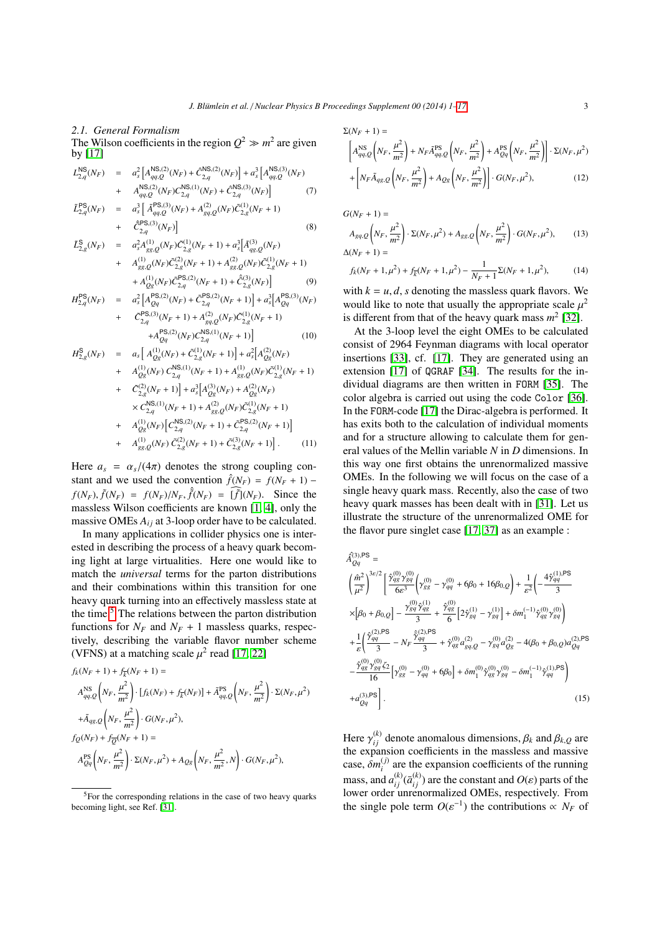#### *2.1. General Formalism*

The Wilson coefficients in the region  $Q^2 \gg m^2$  are given by [\[17\]](#page-13-15)

$$
L_{2,q}^{\text{NS}}(N_F) = a_s^2 \left[ A_{qq,Q}^{\text{NS},(2)}(N_F) + \hat{C}_{2,q}^{\text{NS},(2)}(N_F) \right] + a_s^3 \left[ A_{qq,Q}^{\text{NS},(3)}(N_F) \right] + A_{qq,Q}^{\text{NS},(2)}(N_F) C_{2,q}^{\text{NS},(1)}(N_F) + \hat{C}_{2,q}^{\text{NS},(3)}(N_F) \right] \tag{7}
$$
  

$$
\tilde{L}_{2,q}^{\text{PS}}(N_F) = a_s^3 \left[ \tilde{A}_{qq,Q}^{\text{PS},(3)}(N_F) + A_{gq,Q}^{(2)}(N_F) \tilde{C}_{2,g}^{(1)}(N_F + 1) \right] + \hat{C}_{2,q}^{\text{PS},(3)}(N_F) \right] \tag{8}
$$
  

$$
\tilde{L}_{2,q}^{\text{S}}(N_F) = a_s^2 A_{g,q,Q}^{(1)}(N_F) \tilde{C}_{2,g}^{(1)}(N_F + 1) + a_s^3 \left[ \tilde{A}_{g,q,Q}^{(3)}(N_F) \right]
$$

$$
+ A_{gg,Q}^{(1)}(N_F) \tilde{C}_{2,g}^{(2)}(N_F + 1) + A_{sg,Q}^{(2)}(N_F) \tilde{C}_{2,g}^{(1)}(N_F + 1)
$$
  
+ 
$$
A_{gg,Q}^{(1)}(N_F) \tilde{C}_{2,g}^{(2)}(N_F + 1) + A_{gg,Q}^{(2)}(N_F) \tilde{C}_{2,g}^{(1)}(N_F + 1)
$$
  
+ 
$$
A_{Qg}^{(1)}(N_F) \tilde{C}_{2,q}^{PS,(2)}(N_F + 1) + \tilde{C}_{2,g}^{(3)}(N_F)
$$
 (9)

$$
H_{2,q}^{\text{PS}}(N_F) = a_s^2 \left[ A_{Qq}^{\text{PS},(2)}(N_F) + \tilde{C}_{2,q}^{\text{PS},(2)}(N_F + 1) \right] + a_s^3 \left[ A_{Qq}^{\text{PS},(3)}(N_F) + \tilde{C}_{2,q}^{\text{PS},(3)}(N_F + 1) + A_{gq,Q}^{(2)}(N_F) \tilde{C}_{2,q}^{(1)}(N_F + 1) + A_{Qq}^{\text{PS},(2)}(N_F) \tilde{C}_{2,q}^{(\text{NS},(1)}(N_F + 1) \right]
$$
(10)

$$
H_{2,g}^{S}(N_F) = a_s \left[ A_{Qg}^{(1)}(N_F) + \tilde{C}_{2,g}^{(1)}(N_F + 1) \right] + a_s^2 \left[ A_{Qg}^{(2)}(N_F) + A_{Qg}^{(1)}(N_F) \tilde{C}_{2,g}^{(N)}(N_F + 1) + A_{gg,Q}^{(1)}(N_F) \tilde{C}_{2,g}^{(1)}(N_F + 1) \right] + a_s^3 \left[ A_{Qg}^{(3)}(N_F) + A_{Qg}^{(2)}(N_F) \right] \times C_{2,q}^{NS,(1)}(N_F + 1) + A_{gg,Q}^{(2)}(N_F) \tilde{C}_{2,g}^{(1)}(N_F + 1) + A_{gg,Q}^{(1)}(N_F) \left[ C_{2,q}^{NS,(2)}(N_F + 1) + \tilde{C}_{2,q}^{PS,(2)}(N_F + 1) \right] + A_{gg,Q}^{(1)}(N_F) \tilde{C}_{2,g}^{(2)}(N_F + 1) + \tilde{C}_{2,g}^{(2)}(N_F + 1) \right].
$$
\n(11)

Here  $a_s = \alpha_s/(4\pi)$  denotes the strong coupling constant and we used the convention  $\hat{f}(N_F) = f(N_F + 1)$  –  $f(N_F)$ ,  $\tilde{f}(N_F) = f(N_F)/N_F$ ,  $\hat{f}(N_F) = [\tilde{f}](N_F)$ . Since the maggless Wilson so from the magnetic the massless Wilson coefficients are known [\[1,](#page-13-0) [4\]](#page-13-1), only the massive OMEs  $A_{ij}$  at 3-loop order have to be calculated.

In many applications in collider physics one is interested in describing the process of a heavy quark becoming light at large virtualities. Here one would like to match the *universal* terms for the parton distributions and their combinations within this transition for one heavy quark turning into an effectively massless state at the time.[5](#page-2-0) The relations between the parton distribution functions for  $N_F$  and  $N_F$  + 1 massless quarks, respectively, describing the variable flavor number scheme (VFNS) at a matching scale  $\mu^2$  read [\[17,](#page-13-15) [22\]](#page-13-18)

<span id="page-2-2"></span>
$$
\begin{split} &f_k(N_F+1)+f_{\bar{k}}(N_F+1)= \\ &A_{qq,Q}^{\rm NS}\left(N_F,\frac{\mu^2}{m^2}\right)\cdot\left[f_k(N_F)+f_{\bar{k}}(N_F)\right]+\tilde{A}_{qq,Q}^{\rm PS}\left(N_F,\frac{\mu^2}{m^2}\right)\cdot\Sigma(N_F,\mu^2)\\ &+\tilde{A}_{qg,Q}\left(N_F,\frac{\mu^2}{m^2}\right)\cdot G(N_F,\mu^2),\\ &f_Q(N_F)+f_{\overline{Q}}(N_F+1)= \\ &A_{Qq}^{\rm PS}\left(N_F,\frac{\mu^2}{m^2}\right)\cdot\Sigma(N_F,\mu^2)+A_{Qg}\left(N_F,\frac{\mu^2}{m^2},N\right)\cdot G(N_F,\mu^2), \end{split}
$$

$$
\Sigma(N_F + 1) =
$$
\n
$$
\left[ A_{qq,Q}^{\text{NS}} \left( N_F, \frac{\mu^2}{m^2} \right) + N_F \tilde{A}_{qq,Q}^{\text{PS}} \left( N_F, \frac{\mu^2}{m^2} \right) + A_{Qq}^{\text{PS}} \left( N_F, \frac{\mu^2}{m^2} \right) \right] \cdot \Sigma(N_F, \mu^2)
$$
\n
$$
+ \left[ N_F \tilde{A}_{qg,Q} \left( N_F, \frac{\mu^2}{m^2} \right) + A_{Qg} \left( N_F, \frac{\mu^2}{m^2} \right) \right] \cdot G(N_F, \mu^2), \tag{12}
$$

 $G(N_F + 1) =$ 

$$
A_{gq,Q}\left(N_F, \frac{\mu^2}{m^2}\right) \cdot \Sigma(N_F, \mu^2) + A_{gg,Q}\left(N_F, \frac{\mu^2}{m^2}\right) \cdot G(N_F, \mu^2),\tag{13}
$$
  

$$
\Delta(N_F + 1) =
$$

$$
f_k(N_F+1,\mu^2) + f_{\overline{k}}(N_F+1,\mu^2) - \frac{1}{N_F+1} \Sigma(N_F+1,\mu^2),\tag{14}
$$

with  $k = u, d$ , *s* denoting the massless quark flavors. We would like to note that usually the appropriate scale  $\mu^2$ <br>is different from that of the heavy quark mass  $m^2$  [32] is different from that of the heavy quark mass  $m^2$  [\[32\]](#page-13-28).

At the 3-loop level the eight OMEs to be calculated consist of 2964 Feynman diagrams with local operator insertions [\[33\]](#page-13-29), cf. [\[17\]](#page-13-15). They are generated using an extension [\[17\]](#page-13-15) of QGRAF [\[34\]](#page-13-30). The results for the individual diagrams are then written in FORM [\[35\]](#page-13-31). The color algebra is carried out using the code Color [\[36\]](#page-13-32). In the FORM-code [\[17\]](#page-13-15) the Dirac-algebra is performed. It has exits both to the calculation of individual moments and for a structure allowing to calculate them for general values of the Mellin variable *N* in *D* dimensions. In this way one first obtains the unrenormalized massive OMEs. In the following we will focus on the case of a single heavy quark mass. Recently, also the case of two heavy quark masses has been dealt with in [\[31\]](#page-13-27). Let us illustrate the structure of the unrenormalized OME for the flavor pure singlet case [\[17,](#page-13-15) [37\]](#page-13-33) as an example :

<span id="page-2-1"></span>
$$
\hat{A}_{Qq}^{(3),PS} =
$$
\n
$$
\left(\frac{\hat{m}^2}{\mu^2}\right)^{3\varepsilon/2} \left[\frac{\hat{\gamma}_{qg}^{(0)}\gamma_{gq}^{(0)}}{6\varepsilon^3} \left(\gamma_{gg}^{(0)} - \gamma_{qq}^{(0)} + 6\beta_0 + 16\beta_{0,Q}\right) + \frac{1}{\varepsilon^2} \left(-\frac{4\hat{\gamma}_{qq}^{(1),PS}}{3}\right) \times \left[\beta_0 + \beta_{0,Q}\right] - \frac{\gamma_{gq}^{(0)}\hat{\gamma}_{qg}^{(1)}}{3} + \frac{\hat{\gamma}_{gg}^{(0)}}{6} \left[2\hat{\gamma}_{gq}^{(1)} - \gamma_{gq}^{(1)}\right] + \delta m_1^{(-1)}\hat{\gamma}_{qg}^{(0)}\gamma_{gq}^{(0)}\right) + \frac{1}{\varepsilon} \left(\frac{\hat{\gamma}_{qq}^{(2),PS}}{3} - N_F \frac{\hat{\gamma}_{qq}^{(2),PS}}{3} + \hat{\gamma}_{qg}^{(0)} a_{gq,Q}^{(2)} - \gamma_{gq}^{(0)} a_{Qg}^{(2)} - 4(\beta_0 + \beta_{0,Q}) a_{Qq}^{(2),PS}\right) \times \frac{\hat{\gamma}_{qg}^{(0)}\gamma_{gq}^{(0)}\zeta_2}{16} \left[\gamma_{gg}^{(0)} - \gamma_{qq}^{(0)} + 6\beta_0\right] + \delta m_1^{(0)}\hat{\gamma}_{qg}^{(0)}\gamma_{gq}^{(0)} - \delta m_1^{(-1)}\hat{\gamma}_{qq}^{(1),PS}\right) + a_{Qq}^{(3),PS}\right].
$$
\n(15)

Here  $\gamma_{ij}^{(k)}$  denote anomalous dimensions,  $\beta_k$  and  $\beta_{k,Q}$  are the expansion coefficients in the massless and massive the expansion coefficients in the massless and massive case,  $\delta m_i^{(j)}$  $\frac{a_{ij}}{i}$  are the expansion coefficients of the running mass, and  $a_{ij}^{(k)}(\bar{a}_{ij}^{(k)})$  are the constant and  $O(\varepsilon)$  parts of the lower order unrenormalized OMEs, respectively. From lower order unrenormalized OMEs, respectively. From the single pole term  $O(\varepsilon^{-1})$  the contributions  $\propto N_F$  of

<span id="page-2-0"></span><sup>5</sup>For the corresponding relations in the case of two heavy quarks becoming light, see Ref. [\[31\]](#page-13-27).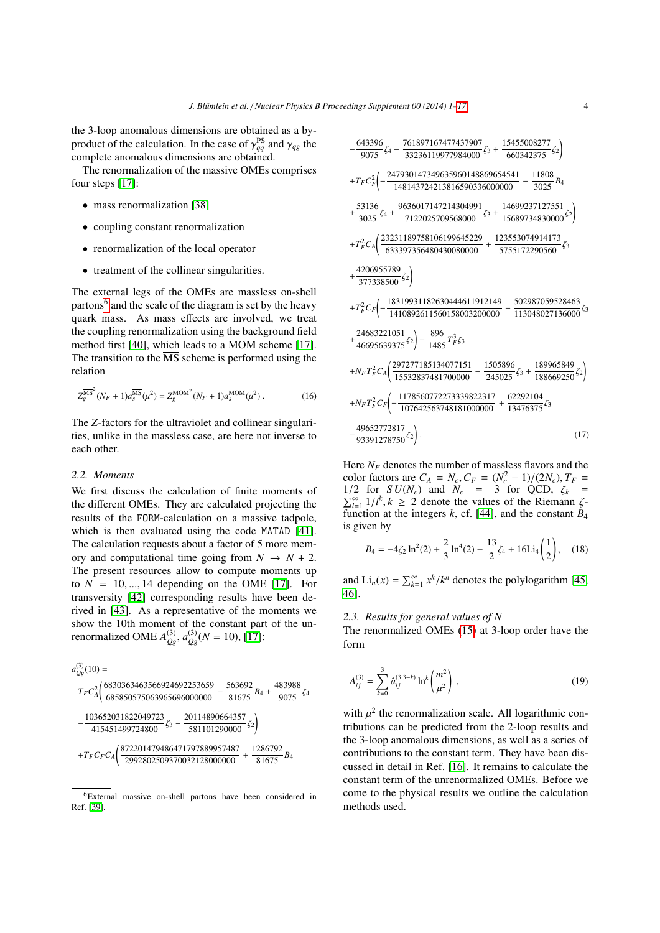the 3-loop anomalous dimensions are obtained as a byproduct of the calculation. In the case of  $\gamma_{qg}^{\text{PS}}$  and  $\gamma_{qg}$  the complete anomalous dimensions are obtained complete anomalous dimensions are obtained.

The renormalization of the massive OMEs comprises four steps [\[17\]](#page-13-15):

- mass renormalization [\[38\]](#page-13-34)
- coupling constant renormalization
- renormalization of the local operator
- treatment of the collinear singularities.

The external legs of the OMEs are massless on-shell partons<sup>[6](#page-3-0)</sup> and the scale of the diagram is set by the heavy quark mass. As mass effects are involved, we treat the coupling renormalization using the background field method first [\[40\]](#page-13-35), which leads to a MOM scheme [\[17\]](#page-13-15). The transition to the  $\overline{\text{MS}}$  scheme is performed using the relation

$$
Z_g^{\overline{\rm MS}^2}(N_F+1)a_s^{\overline{\rm MS}}(\mu^2) = Z_g^{\rm MOM^2}(N_F+1)a_s^{\rm MOM}(\mu^2)
$$
 (16)

The *Z*-factors for the ultraviolet and collinear singularities, unlike in the massless case, are here not inverse to each other.

#### *2.2. Moments*

We first discuss the calculation of finite moments of the different OMEs. They are calculated projecting the results of the FORM-calculation on a massive tadpole, which is then evaluated using the code MATAD [\[41\]](#page-13-36). The calculation requests about a factor of 5 more memory and computational time going from  $N \rightarrow N + 2$ . The present resources allow to compute moments up to  $N = 10, \dots, 14$  depending on the OME [\[17\]](#page-13-15). For transversity [\[42\]](#page-13-37) corresponding results have been derived in [\[43\]](#page-13-38). As a representative of the moments we show the 10th moment of the constant part of the unrenormalized OME  $A_{Qg}^{(3)}$ ,  $a_{Qg}^{(3)}$ ( $N = 10$ ), [\[17\]](#page-13-15):

$$
a_{Qg}^{(3)}(10) =
$$
\n
$$
Tr C_A^2 \bigg( \frac{6830363463566924692253659}{685850575063965696000000} - \frac{563692}{81675} B_4 + \frac{483988}{9075} \zeta_4
$$
\n
$$
- \frac{103652031822049723}{415451499724800} \zeta_3 - \frac{20114890664357}{581101290000} \zeta_2 \bigg)
$$
\n
$$
+ Tr C_F C_A \bigg( \frac{872201479486471797889957487}{2992802509370032128000000} + \frac{1286792}{81675} B_4
$$

$$
-\frac{643396}{9075}\zeta_4 - \frac{761897167477437907}{33236119977984000}\zeta_3 + \frac{15455008277}{660342375}\zeta_2
$$
\n
$$
+T_F C_F^2 \left(-\frac{247930147349635960148869654541}{148143724213816590336000000} - \frac{11808}{3025}B_4 + \frac{53136}{3025}\zeta_4 + \frac{9636017147214304991}{7122025709568000}\zeta_3 + \frac{14699237127551}{15689734830000}\zeta_2\right)
$$
\n
$$
+T_F^2 C_A \left(\frac{23231189758106199645229}{633397356480430080000} + \frac{123553074914173}{5755172290560}\zeta_3 + \frac{4206955789}{377338500}\zeta_2\right)
$$
\n
$$
+T_F^2 C_F \left(-\frac{18319931182630444611912149}{1410892611560158003200000} - \frac{502987059528463}{113048027136000}\zeta_3 + \frac{24683221051}{46695639375}\zeta_2\right) - \frac{896}{1485}T_F^2 \zeta_3
$$
\n
$$
+N_F T_F^2 C_A \left(\frac{297277185134077151}{15532837481700000} - \frac{1505896}{245025}\zeta_3 + \frac{189965849}{188669250}\zeta_2\right)
$$
\n
$$
+N_F T_F^2 C_F \left(-\frac{117856077227
$$

Here  $N_F$  denotes the number of massless flavors and the color factors are  $C_A = N_c$ ,  $C_F = (N_c^2 - 1)/(2N_c)$ ,  $T_F =$ <br>1/2 for  $S U(N_c)$  and  $N_c = 3$  for OCD  $\chi_k =$ 1/2 for *SU(N<sub>c</sub>*) and *N<sub>c</sub>* = 3 for QCD,  $\zeta_k$  =  $\sum_{l=1}^{\infty} 1/l^k$ , *k* ≥ 2 denote the values of the Riemann *ζ*-<br>*function at the integers k cf* [441 and the constant *B*<sub>4</sub> function at the integers  $k$ , cf. [\[44\]](#page-13-40), and the constant  $B_4$ is given by

$$
B_4 = -4\zeta_2 \ln^2(2) + \frac{2}{3} \ln^4(2) - \frac{13}{2} \zeta_4 + 16 \text{Li}_4\left(\frac{1}{2}\right), \quad (18)
$$

and  $\text{Li}_n(x) = \sum_{k=1}^{\infty} x^k / k^n$  denotes the polylogarithm [\[45,](#page-13-41) [46\]](#page-13-42).

## *2.3. Results for general values of N*

The renormalized OMEs [\(15\)](#page-2-1) at 3-loop order have the form

$$
A_{ij}^{(3)} = \sum_{k=0}^{3} \hat{a}_{ij}^{(3,3-k)} \ln^k \left(\frac{m^2}{\mu^2}\right), \qquad (19)
$$

with  $\mu^2$  the renormalization scale. All logarithmic con-<br>tributions can be predicted from the 2-loop results and tributions can be predicted from the 2-loop results and the 3-loop anomalous dimensions, as well as a series of contributions to the constant term. They have been discussed in detail in Ref. [\[16\]](#page-13-13). It remains to calculate the constant term of the unrenormalized OMEs. Before we come to the physical results we outline the calculation methods used.

<span id="page-3-0"></span><sup>6</sup>External massive on-shell partons have been considered in Ref. [\[39\]](#page-13-39).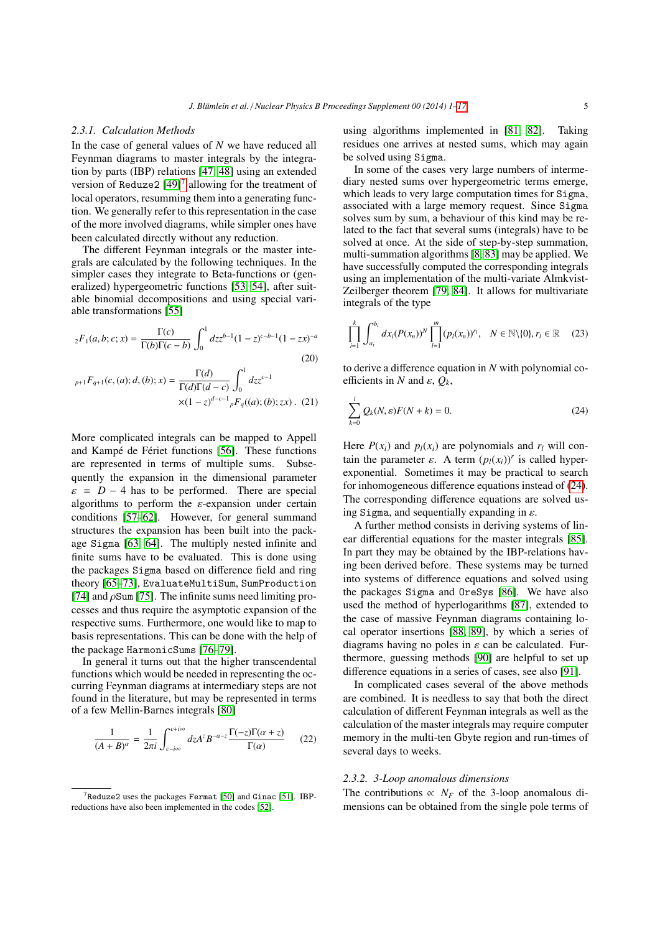#### *2.3.1. Calculation Methods*

In the case of general values of *N* we have reduced all Feynman diagrams to master integrals by the integration by parts (IBP) relations [\[47,](#page-13-43) [48\]](#page-14-0) using an extended version of Reduze2  $[49]$ <sup>[7](#page-4-0)</sup> allowing for the treatment of local operators, resumming them into a generating function. We generally refer to this representation in the case of the more involved diagrams, while simpler ones have been calculated directly without any reduction.

The different Feynman integrals or the master integrals are calculated by the following techniques. In the simpler cases they integrate to Beta-functions or (generalized) hypergeometric functions [\[53,](#page-14-2) [54\]](#page-14-3), after suitable binomial decompositions and using special variable transformations [\[55\]](#page-14-4)

$$
{}_2F_1(a,b;c;x) = \frac{\Gamma(c)}{\Gamma(b)\Gamma(c-b)} \int_0^1 dz z^{b-1} (1-z)^{c-b-1} (1-zx)^{-a}
$$
\n(20)

$$
{}_{p+1}F_{q+1}(c,(a);d,(b);x) = \frac{\Gamma(d)}{\Gamma(d)\Gamma(d-c)} \int_0^1 dz z^{c-1}
$$

$$
\times (1-z)^{d-c-1} {}_pF_q((a);(b);zx) \ . \ (21)
$$

More complicated integrals can be mapped to Appell and Kampé de Fériet functions [\[56\]](#page-14-5). These functions are represented in terms of multiple sums. Subsequently the expansion in the dimensional parameter  $\varepsilon$  = *D* − 4 has to be performed. There are special algorithms to perform the  $\varepsilon$ -expansion under certain conditions [\[57–](#page-14-6)[62\]](#page-14-7). However, for general summand structures the expansion has been built into the package Sigma [\[63,](#page-14-8) [64\]](#page-14-9). The multiply nested infinite and finite sums have to be evaluated. This is done using the packages Sigma based on difference field and ring theory [\[65–](#page-14-10)[73\]](#page-14-11), EvaluateMultiSum, SumProduction [\[74\]](#page-14-12) and  $\rho$ Sum [\[75\]](#page-14-13). The infinite sums need limiting processes and thus require the asymptotic expansion of the respective sums. Furthermore, one would like to map to basis representations. This can be done with the help of the package HarmonicSums [\[76–](#page-14-14)[79\]](#page-14-15).

In general it turns out that the higher transcendental functions which would be needed in representing the occurring Feynman diagrams at intermediary steps are not found in the literature, but may be represented in terms of a few Mellin-Barnes integrals [\[80\]](#page-14-16)

$$
\frac{1}{(A+B)^{\alpha}} = \frac{1}{2\pi i} \int_{c-i\infty}^{c+i\infty} dz A^{z} B^{-\alpha-z} \frac{\Gamma(-z)\Gamma(\alpha+z)}{\Gamma(\alpha)} \tag{22}
$$

using algorithms implemented in [\[81,](#page-14-20) [82\]](#page-14-21). Taking residues one arrives at nested sums, which may again be solved using Sigma.

In some of the cases very large numbers of intermediary nested sums over hypergeometric terms emerge, which leads to very large computation times for Sigma, associated with a large memory request. Since Sigma solves sum by sum, a behaviour of this kind may be related to the fact that several sums (integrals) have to be solved at once. At the side of step-by-step summation, multi-summation algorithms [\[8,](#page-13-5) [83\]](#page-14-22) may be applied. We have successfully computed the corresponding integrals using an implementation of the multi-variate Almkvist-Zeilberger theorem [\[79,](#page-14-15) [84\]](#page-14-23). It allows for multivariate integrals of the type

$$
\prod_{i=1}^k \int_{a_i}^{b_i} dx_i (P(x_n))^N \prod_{l=1}^m (p_l(x_n))^{r_l}, \quad N \in \mathbb{N} \setminus \{0\}, r_l \in \mathbb{R} \quad (23)
$$

to derive a difference equation in *N* with polynomial co<sup>e</sup>fficients in *<sup>N</sup>* and ε, *<sup>Q</sup>k*,

<span id="page-4-1"></span>
$$
\sum_{k=0}^{l} Q_k(N, \varepsilon) F(N+k) = 0.
$$
\n(24)

Here  $P(x_i)$  and  $p_l(x_i)$  are polynomials and  $r_l$  will contain the parameter  $\varepsilon$ . A term  $(p_l(x_i))^r$  is called hyper-<br>exponential. Sometimes it may be practical to search exponential. Sometimes it may be practical to search for inhomogeneous difference equations instead of [\(24\)](#page-4-1). The corresponding difference equations are solved using Sigma, and sequentially expanding in  $\varepsilon$ .

A further method consists in deriving systems of linear differential equations for the master integrals [\[85\]](#page-14-24). In part they may be obtained by the IBP-relations having been derived before. These systems may be turned into systems of difference equations and solved using the packages Sigma and OreSys [\[86\]](#page-14-25). We have also used the method of hyperlogarithms [\[87\]](#page-14-26), extended to the case of massive Feynman diagrams containing local operator insertions [\[88,](#page-14-27) [89\]](#page-14-28), by which a series of diagrams having no poles in  $\varepsilon$  can be calculated. Furthermore, guessing methods [\[90\]](#page-14-29) are helpful to set up difference equations in a series of cases, see also [\[91\]](#page-14-30).

In complicated cases several of the above methods are combined. It is needless to say that both the direct calculation of different Feynman integrals as well as the calculation of the master integrals may require computer memory in the multi-ten Gbyte region and run-times of several days to weeks.

#### *2.3.2. 3-Loop anomalous dimensions*

The contributions  $\propto N_F$  of the 3-loop anomalous dimensions can be obtained from the single pole terms of

<span id="page-4-0"></span> $7$ Reduze2 uses the packages Fermat [\[50\]](#page-14-17) and Ginac [\[51\]](#page-14-18). IBPreductions have also been implemented in the codes [\[52\]](#page-14-19).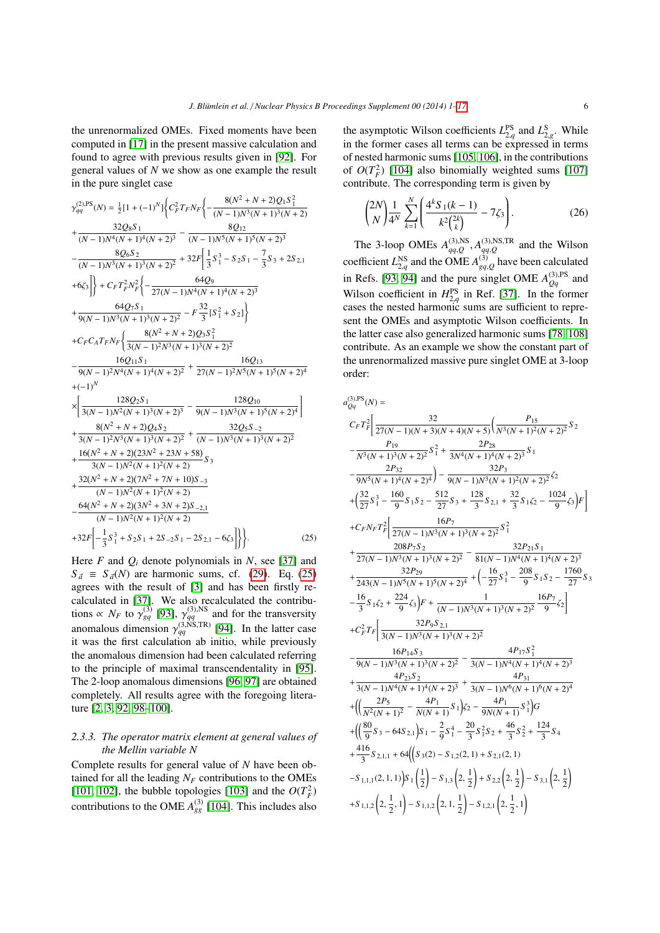the unrenormalized OMEs. Fixed moments have been computed in [\[17\]](#page-13-15) in the present massive calculation and found to agree with previous results given in [\[92\]](#page-15-0). For general values of *N* we show as one example the result in the pure singlet case

<span id="page-5-0"></span>
$$
\gamma_{qq}^{(2)PS}(N) = \frac{1}{2}[1 + (-1)^N]\Big\{C_F^2 T_F N_F \Big\{ -\frac{8(N^2 + N + 2)Q_1 S_1^2}{(N - 1)N^3(N + 1)^3(N + 2)} + \frac{32Q_8 S_1}{(N - 1)N^4(N + 1)^4(N + 2)^3} - \frac{8Q_{12}}{(N - 1)N^5(N + 1)^5(N + 2)^3} - \frac{8Q_6 S_2}{(N - 1)N^3(N + 1)^3(N + 2)^2} + 32F \Big[ \frac{1}{3} S_1^3 - S_2 S_1 - \frac{7}{3} S_3 + 2S_{2,1} + 6\zeta_3^2 \Big] \Big\} + C_F T_F^2 N_F^2 \Big\{ -\frac{64Q_9}{27(N - 1)N^4(N + 1)^4(N + 2)^3} + \frac{64Q_7 S_1}{9(N - 1)N^3(N + 1)^3(N + 2)^2} - F \frac{32}{3} [S_1^2 + S_2] \Big\}
$$
  
+  $C_F C_A T_F N_F \Big\{ \frac{8(N^2 + N + 2)Q_3 S_1^2}{3(N - 1)^2 N^3(N + 1)^3(N + 2)^2} - \frac{16Q_{11} S_1}{9(N - 1)^2 N^4(N + 1)^4(N + 2)^2} + \frac{16Q_{13}}{27(N - 1)^2 N^5(N + 1)^5(N + 2)^4} + (-1)^N$   

$$
\times \Big[ \frac{128Q_2 S_1}{3(N - 1)N^2(N + 1)^3(N + 2)^3} - \frac{128Q_{10}}{9(N - 1)N^3(N + 1)^5(N + 2)^4} \Big] + \frac{8(N^2 + N + 2)Q_4 S_2}{3(N - 1)N^2(N + 1)^3(N + 2)^2} + \frac{32Q_5 S_{-2}}{3(N - 1)N^2(N + 1)^3(N + 2)^2} + \frac{16(N^2 + N + 2)(23N^2 + 23N + 58)}{3(N - 1)N^2(N + 1)^2(N + 2)} S_3
$$
  
+ 
$$
\frac{43(2N^2 + N + 2)(7N^2 + 7N + 10
$$

Here  $F$  and  $Q_i$  denote polynomials in  $N$ , see [\[37\]](#page-13-33) and  $S_d \equiv S_d(N)$  are harmonic sums, cf. [\(29\)](#page-9-0). Eq. [\(25\)](#page-5-0) agrees with the result of [\[3\]](#page-13-44) and has been firstly recalculated in [\[37\]](#page-13-33). We also recalculated the contributions  $\propto N_F$  to  $\gamma_{gq}^{(3)}$  [\[93\]](#page-15-1),  $\gamma_{gq}^{(3),\text{NS}}$  and for the transversity<br>concrete dimension  $\chi_{gq}^{(3),\text{NS},\text{TR}}$  [04]. In the latter case anomalous dimension  $\gamma_{q}^{(3,NS,TR)}$  [\[94\]](#page-15-2). In the latter case<br>it was the first calculation ab initio, while previously it was the first calculation ab initio, while previously the anomalous dimension had been calculated referring to the principle of maximal transcendentality in [\[95\]](#page-15-3). The 2-loop anomalous dimensions [\[96,](#page-15-4) [97\]](#page-15-5) are obtained completely. All results agree with the foregoing literature [\[2,](#page-13-45) [3,](#page-13-44) [92,](#page-15-0) [98–](#page-15-6)[100\]](#page-15-7).

## *2.3.3. The operator matrix element at general values of the Mellin variable N*

Complete results for general value of *N* have been obtained for all the leading  $N_F$  contributions to the OMEs [\[101,](#page-15-8) [102\]](#page-15-9), the bubble topologies [\[103\]](#page-15-10) and the  $O(T_F^2)$ contributions to the OME  $A_{gg}^{(3)}$  [\[104\]](#page-15-11). This includes also the asymptotic Wilson coefficients  $L_{2,q}^{\text{PS}}$  and  $L_{2,q}^{\text{S}}$ . While<br>in the former cases all terms can be expressed in terms in the former cases all terms can be expressed in terms of nested harmonic sums [\[105,](#page-15-12) [106\]](#page-15-13), in the contributions of  $O(T_F^2)$  [\[104\]](#page-15-11) also binomially weighted sums [\[107\]](#page-15-14) contribute. The corresponding term is given by

$$
\binom{2N}{N} \frac{1}{4^N} \sum_{k=1}^N \left( \frac{4^k S_1(k-1)}{k^2 \binom{2k}{k}} - 7\zeta_3 \right). \tag{26}
$$

The 3-loop OMEs  $A_{qq,Q}^{(3),\text{NS}}, A_{qq,Q}^{(3),\text{NS},\text{TR}}$  and the Wilson coefficient  $L_{2,q}^{\text{NS}}$  and the OME  $A_{gq,Q}^{(3)}$  have been calculated<br> $\therefore R_{\text{max}}(3)$  and  $\therefore R_{\text{max}}(3)$  and  $\therefore R_{\text{max}}(3)$  and  $\therefore R_{\text{max}}(3)$  and  $\therefore R_{\text{max}}(3)$  and  $\therefore R_{\text{max}}(3)$  and  $\therefore R_{\text{max}}(3)$  and  $\therefore R_{\text{$ in Refs. [\[93,](#page-15-1) [94\]](#page-15-2) and the pure singlet OME  $A_{Qq}^{(3),PS}$  and Wilson coefficient in  $H_{2,q}^{PS}$  in Ref. [\[37\]](#page-13-33). In the former<br>cases the nested harmonic sums are sufficient to reprecases the nested harmonic sums are sufficient to represent the OMEs and asymptotic Wilson coefficients. In the latter case also generalized harmonic sums [\[78,](#page-14-31) [108\]](#page-15-15) contribute. As an example we show the constant part of the unrenormalized massive pure singlet OME at 3-loop order:

$$
c_{F}T_{F}^{2}\left[\frac{32}{27(N-1)(N+3)(N+4)(N+5)}\left(\frac{P_{15}}{N^{3}(N+1)^{2}(N+2)^{2}}S_{2}\right.\right.\left.\frac{P_{19}}{N^{3}(N+1)^{3}(N+2)^{2}}S_{1}^{2}+\frac{2P_{28}}{3N^{4}(N+1)^{4}(N+2)^{3}}S_{1}\right.\left.\frac{2P_{32}}{9N^{5}(N+1)^{4}(N+2)^{4}}\right)-\frac{32P_{3}}{9(N-1)N^{3}(N+1)^{2}(N+2)^{2}}\zeta_{2}\left.\left.\left(\frac{32}{27}S_{1}^{3}-\frac{160}{9}S_{1}S_{2}-\frac{512}{27}S_{3}+\frac{128}{3}S_{2,1}+\frac{32}{3}S_{1}\zeta_{2}-\frac{1024}{9}\zeta_{3}\right)F\right]\left.\left.+C_{F}N_{F}T_{F}^{2}\right[\frac{16P_{7}}{27(N-1)N^{3}(N+1)^{3}(N+2)^{2}}S_{1}^{2}\right.\left.\left.\frac{208P_{7}S_{2}}{27(N-1)N^{3}(N+1)^{3}(N+2)^{2}}-\frac{32P_{21}S_{1}}{81(N-1)N^{4}(N+1)^{4}(N+2)^{3}}\right.\left.\left.\left.\frac{32P_{29}}{243(N-1)N^{5}(N+1)^{5}(N+2)^{4}}+\left(-\frac{16}{27}S_{1}^{3}-\frac{208}{9}S_{1}S_{2}-\frac{1760}{27}S_{3}\right)\right.\right.\left.\left.-\frac{16}{3}S_{1}\zeta_{2}+\frac{224}{9}\zeta_{3}\right)F+\frac{1}{(N-1)N^{3}(N+1)^{3}(N+2)^{2}}\frac{16P_{7}}{9}\zeta_{2}\right]\left.\left.+C_{F}^{2}T_{F}\right[\frac{32P_{9}S_{2,1}}{3(N-1)N^{5}(N+1)^{3}(N+2)^{2}}-\frac{4P_{17}S_{1}^{2}}{9\left(N-1)N^{4}(N+1)^{4
$$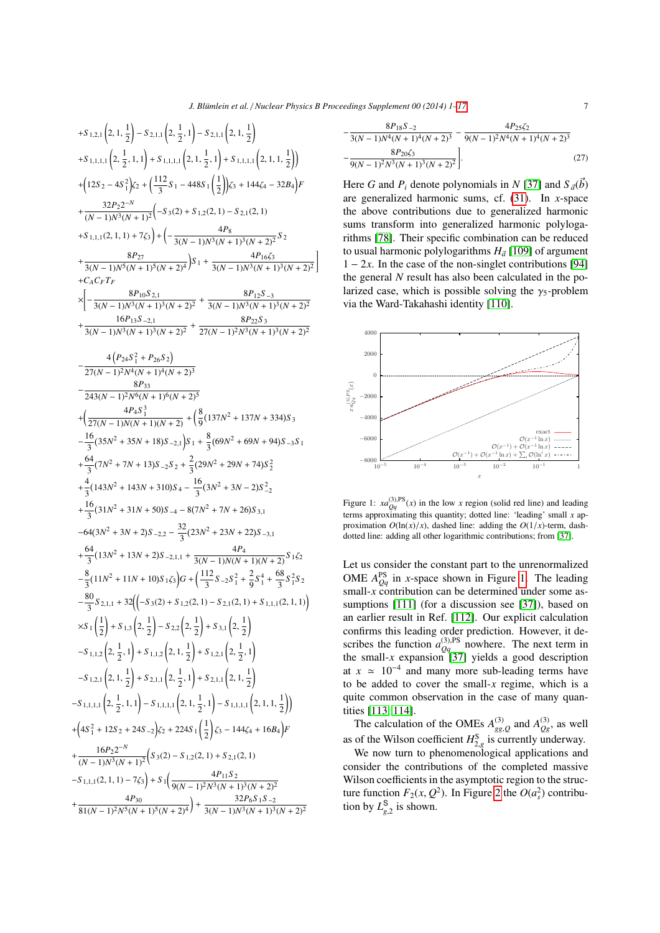1

+5.1.21
$$
(2, 1, \frac{1}{2})
$$
 - 5.2.1.1 $(2, \frac{1}{2}, 1)$  - 5.2.1.1 $(2, 1, \frac{1}{2})$   
+5.1.1.1.1 $(2, \frac{1}{2}, 1, 1)$  + 5.1.1.1.1 $(2, 1, \frac{1}{2}, 1)$  + 5.1.1.1.1 $(2, 1, \frac{1}{2})$   
+ $(12S_2 - 4S_1^2)\zeta_2 + (\frac{112}{3}S_1 - 448S_1(\frac{1}{2})\zeta_3 + 144\zeta_4 - 32B_4)F$   
+ $\frac{32P_2 2^{-N}}{(N-1)N^3(N+1)^2}(-S_3(2) + S_{1,2}(2, 1) - S_{2,1}(2, 1)$   
+5.1.1.1 $(2, 1, 1)$  + 7 $\zeta_3$ ) +  $(-\frac{4P_8}{3(N-1)N^3(N+1)^3(N+2)^2}S_2$   
+ $\frac{8P_{27}}{3(N-1)N^5(N+1)^5(N+2)^4}S_1 + \frac{4P_16\zeta_3}{3(N-1)N^3(N+1)^3(N+2)^2}$   
+ $\frac{8P_{10}S_{2,1}}{\sqrt{N-1}N^3(N+1)^3(N+2)^2} + \frac{8P_{12}S_{-3}}{3(N-1)N^3(N+1)^3(N+2)^2}$   
+ $\frac{16P_{13}S_{-2,1}}{3(N-1)N^3(N+1)^3(N+2)^2} + \frac{8P_{22}S_3}{3(N-1)N^3(N+1)^3(N+2)^2}$   
+ $\frac{16P_{13}S_{-2,1}}{27(N-1)^2N^4(N+1)^4(N+2)^3}$   
- $\frac{4(P_{24}S_1^2 + P_{26}S_2)}{27(N-1)^2N^4(N+1)^4(N+2)^5}$   
+ $(\frac{4P_4S_1^3}{27(N-1)N(N+1)(N+2)^2} + (\frac{8}{9}(137N^2 + 137N + 334$ 

$$
-\frac{8P_{18}S_{-2}}{3(N-1)N^4(N+1)^4(N+2)^3} - \frac{4P_{25}\zeta_2}{9(N-1)^2N^4(N+1)^4(N+2)^3} - \frac{8P_{20}\zeta_3}{9(N-1)^2N^3(N+1)^3(N+2)^2}
$$
\n(27)

Here *G* and  $P_i$  denote polynomials in *N* [\[37\]](#page-13-33) and  $S_{\vec{a}}(b)$ are generalized harmonic sums, cf. [\(31\)](#page-9-1). In *x*-space the above contributions due to generalized harmonic sums transform into generalized harmonic polylogarithms [\[78\]](#page-14-31). Their specific combination can be reduced to usual harmonic polylogarithms  $H_{\vec{a}}$  [\[109\]](#page-15-16) of argument  $1 - 2x$ . In the ages of the non-singlet contributions [04]  $1 - 2x$ . In the case of the non-singlet contributions [\[94\]](#page-15-2) the general *N* result has also been calculated in the polarized case, which is possible solving the  $\gamma_5$ -problem via the Ward-Takahashi identity [\[110\]](#page-15-17).



<span id="page-6-0"></span>Figure 1:  $xa_{Qq}^{(3),\text{PS}}(x)$  in the low *x* region (solid red line) and leading terms approximating this quantity; dotted line: 'leading' small *x* approximation  $O(\ln(x)/x)$ , dashed line: adding the  $O(1/x)$ -term, dashdotted line: adding all other logarithmic contributions; from [\[37\]](#page-13-33).

Let us consider the constant part to the unrenormalized OME  $A_{Qq}^{PS}$  in *x*-space shown in Figure [1.](#page-6-0) The leading small-x contribution can be determined under some assumptions [\[111\]](#page-15-18) (for a discussion see [\[37\]](#page-13-33)), based on an earlier result in Ref. [\[112\]](#page-15-19). Our explicit calculation confirms this leading order prediction. However, it describes the function  $a_{Qq}^{(3),\text{PS}}$  nowhere. The next term in the small- $x$  expansion [\[37\]](#page-13-33) yields a good description at  $x \approx 10^{-4}$  and many more sub-leading terms have to be added to cover the small-*x* regime, which is a quite common observation in the case of many quantities [\[113,](#page-15-20) [114\]](#page-15-21).

The calculation of the OMEs  $A_{gg}^{(3)}$  and  $A_{gg}^{(3)}$ , as well as of the Wilson coefficient  $H_{2,g}^S$  is currently underway.<br>We now turn to phenomenological applications and

We now turn to phenomenological applications and consider the contributions of the completed massive Wilson coefficients in the asymptotic region to the structure function  $F_2(x, Q^2)$ . In Figure [2](#page-7-0) the  $O(a_s^2)$  contribu-<br>tion by  $I^S$  is shown tion by  $L_{g,2}^{\mathbb{S}}$  is shown.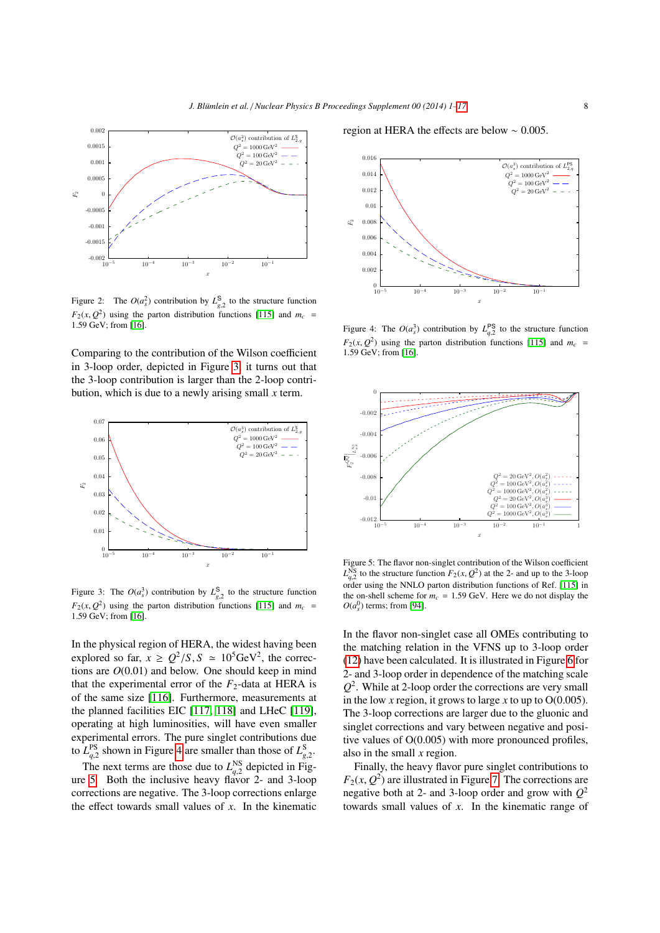

<span id="page-7-0"></span>Figure 2: The  $O(a_s^2)$  contribution by  $L_{g,2}^S$  to the structure function *F*<sub>2</sub>(*x*, *Q*<sup>2</sup>) using the parton distribution functions [\[115\]](#page-15-22) and  $m_c$  = 1.50 GeV: from [16] <sup>1</sup>.59 GeV; from [\[16\]](#page-13-13).

Comparing to the contribution of the Wilson coefficient in 3-loop order, depicted in Figure [3,](#page-7-1) it turns out that the 3-loop contribution is larger than the 2-loop contribution, which is due to a newly arising small *x* term.



<span id="page-7-1"></span>Figure 3: The  $O(a_3^3)$  contribution by  $L_{8,2}^{\text{S}}$  to the structure function  $F_2(x, Q^2)$  using the parton distribution functions [\[115\]](#page-15-22) and  $m_c = 1.59$  GeV· from [16] <sup>1</sup>.59 GeV; from [\[16\]](#page-13-13).

In the physical region of HERA, the widest having been explored so far,  $x \ge Q^2/S$ ,  $S \approx 10^5 \text{GeV}^2$ , the corrections are  $Q(0.01)$  and below. One should keep in mind tions are *<sup>O</sup>*(0.01) and below. One should keep in mind that the experimental error of the  $F_2$ -data at HERA is of the same size [\[116\]](#page-15-23). Furthermore, measurements at the planned facilities EIC [\[117,](#page-15-24) [118\]](#page-15-25) and LHeC [\[119\]](#page-15-26), operating at high luminosities, will have even smaller experimental errors. The pure singlet contributions due to  $L_{q}^{\text{PS}}$  shown in Figure [4](#page-7-2) are smaller than those of  $L_{q}^{\text{S}}$ .

 $L_{q,2}$  shown in 1 igure 4 are smaller than those of  $L_{g,2}^{\text{NS}}$ .<br>The next terms are those due to  $L_{q,2}^{\text{NS}}$  depicted in Figure [5.](#page-7-3) Both the inclusive heavy flavor 2- and 3-loop corrections are negative. The 3-loop corrections enlarge the effect towards small values of *x*. In the kinematic

region at HERA the effects are below <sup>∼</sup> <sup>0</sup>.005.



<span id="page-7-2"></span>Figure 4: The  $O(a_s^3)$  contribution by  $L_{q,s}^{PS}$  to the structure function  $E_q$  (*a*,  $O_s^2$ ) where the gastra distribution function [115] and *m*  $F_2(x, Q^2)$  using the parton distribution functions [\[115\]](#page-15-22) and  $m_c = 1.59$  GeV· from [16] <sup>1</sup>.59 GeV; from [\[16\]](#page-13-13).



<span id="page-7-3"></span>Figure 5: The flavor non-singlet contribution of the Wilson coefficient  $L_{q,2}^{NS}$  to the structure function  $F_2(x, Q^2)$  at the 2- and up to the 3-loop<br>order using the NNLO perton distribution functions of Ref. [115] in  $L_{q,2}$  to the structure function  $T_2(x, y)$  at the 2- and up to the 3-loop order using the NNLO parton distribution functions of Ref. [\[115\]](#page-15-22) in the on-shell scheme for  $m_c = 1.59$  GeV. Here we do not display the  $O(a_s^0)$  terms; from [\[94\]](#page-15-2).

In the flavor non-singlet case all OMEs contributing to the matching relation in the VFNS up to 3-loop order [\(12\)](#page-2-2) have been calculated. It is illustrated in Figure [6](#page-8-0) for 2- and 3-loop order in dependence of the matching scale  $Q<sup>2</sup>$ . While at 2-loop order the corrections are very small in the low *x* region, it grows to large *x* to up to  $O(0.005)$ . The 3-loop corrections are larger due to the gluonic and singlet corrections and vary between negative and positive values of O(0.005) with more pronounced profiles, also in the small *x* region.

Finally, the heavy flavor pure singlet contributions to  $F_2(x, Q^2)$  are illustrated in Figure [7.](#page-8-1) The corrections are<br>negative both at 2- and 3-loop order and grow with  $Q^2$ negative both at 2- and 3-loop order and grow with *Q* 2 towards small values of *x*. In the kinematic range of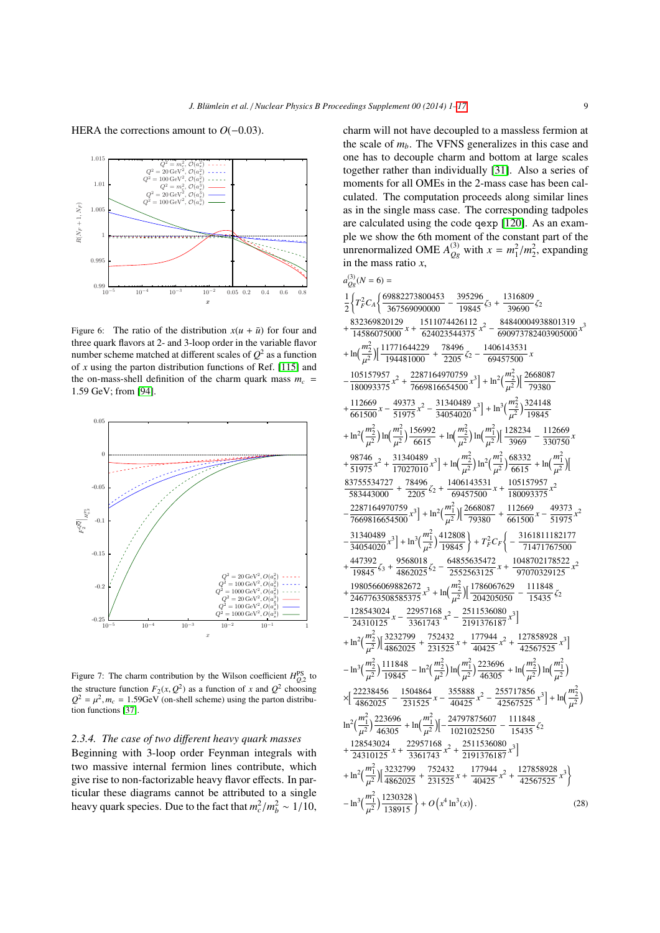

<span id="page-8-0"></span>Figure 6: The ratio of the distribution  $x(u + \bar{u})$  for four and three quark flavors at 2- and 3-loop order in the variable flavor number scheme matched at different scales of  $Q^2$  as a function of *x* using the parton distribution functions of Ref. [\[115\]](#page-15-22) and the on-mass-shell definition of the charm quark mass  $m_c$  = <sup>1</sup>.59 GeV; from [\[94\]](#page-15-2).



<span id="page-8-1"></span>Figure 7: The charm contribution by the Wilson coefficient  $H_{Q_2}^{PS}$  to the structure function  $F_2(x, Q^2)$  as a function of *x* and  $Q^2$  choosing<br>  $Q^2 - u^2 m = 1.59$ GeV (on-shell scheme) using the parton distribu- $Q^2 = \mu^2$ ,  $m_c = 1.59$ GeV (on-shell scheme) using the parton distribution functions [37] tion functions [\[37\]](#page-13-33).

## *2.3.4. The case of two di*ff*erent heavy quark masses*

Beginning with 3-loop order Feynman integrals with two massive internal fermion lines contribute, which give rise to non-factorizable heavy flavor effects. In particular these diagrams cannot be attributed to a single heavy quark species. Due to the fact that  $m_c^2/m_b^2 \sim 1/10$ , charm will not have decoupled to a massless fermion at the scale of *mb*. The VFNS generalizes in this case and one has to decouple charm and bottom at large scales together rather than individually [\[31\]](#page-13-27). Also a series of moments for all OMEs in the 2-mass case has been calculated. The computation proceeds along similar lines as in the single mass case. The corresponding tadpoles are calculated using the code qexp [\[120\]](#page-15-27). As an example we show the 6th moment of the constant part of the unrenormalized OME  $A_{Qg}^{(3)}$  with  $x = m_1^2/m_2^2$ , expanding in the mass ratio *x* in the mass ratio *x*,

$$
a_{0,0}^{(3)}(N=6)=\\ \frac{1}{2}\left\{T_F^2C_A\left\{\frac{69882273800453}{367569090000}-\frac{395296}{19845}\zeta_3+\frac{1316809}{39690}\zeta_2\right.\right.\\ \left.\left.\frac{832369820129}{14586075000}\right.\right.\right.\left.\left.\frac{1511074426112}{624023544375}\right.\right.\left.\left.\frac{84840004938801319}{690973782403905000}\right.\right.\right.\left.\left.\frac{832369820129}{140481000}+\frac{1511074426112}{2205}\right.\left.\frac{2}{2}-\frac{84840004938801319}{690973782403905000}\right.\right.\right.\left.\left.\frac{105157957}{180093375}x^2+\frac{2287164970759}{7669816654500}x^3\right]+\ln^2\left(\frac{m_2^2}{\mu^2}\right)\left[\frac{2668087}{79380}\right.\right.\left.\left.\frac{112669}{1601500}\right.\right.\left.\left.\frac{49373}{51975}\right.\right.\left.\left.\frac{2}{34054020}\right.\right.\left.\right.\left.\right)+\ln^2\left(\frac{m_2^2}{\mu^2}\right)\ln\left(\frac{m_2^2}{\mu^2}\right)\ln\left(\frac{m_2^2}{\mu^2}\right)\ln\left(\frac{m_2^2}{\mu^2}\right)\left[\frac{128234}{3969}-\frac{112669}{330750}\right.\right.\right.\left.\left.\frac{98746}{51975}\right.\left.\left.\frac{49373}{17027010}\right.\right.\left.\left.\frac{11}{\mu^2}\right)\ln\left(\frac{m_2^2}{\mu^2}\right)\ln\left(\frac{m_2^2}{\mu^2}\right)\ln\left(\frac{m_2^2}{\
$$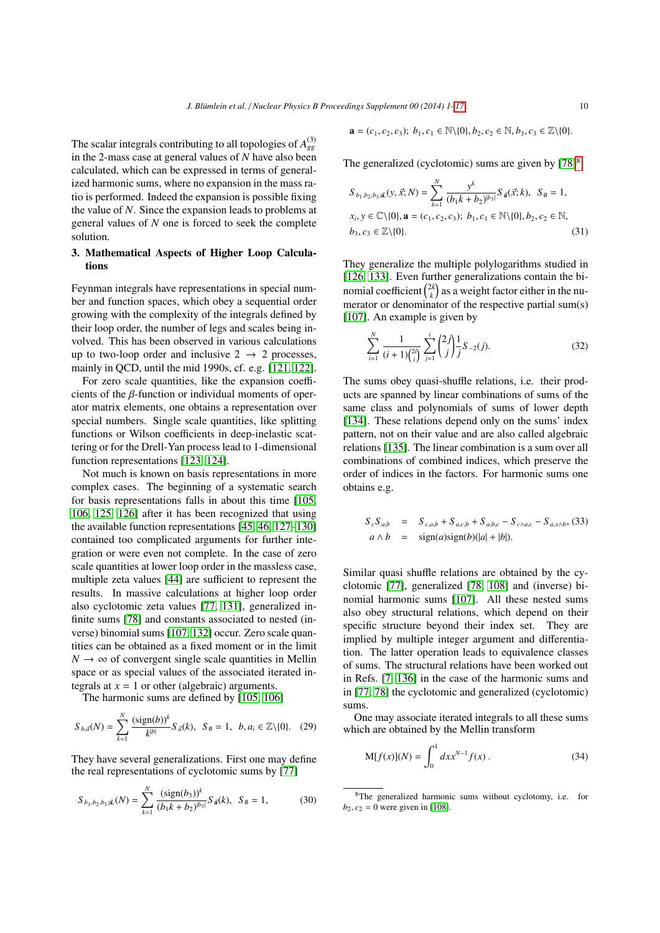The scalar integrals contributing to all topologies of  $A_{gg}^{(3)}$ in the 2-mass case at general values of *N* have also been calculated, which can be expressed in terms of generalized harmonic sums, where no expansion in the mass ratio is performed. Indeed the expansion is possible fixing the value of *N*. Since the expansion leads to problems at general values of *N* one is forced to seek the complete solution.

## 3. Mathematical Aspects of Higher Loop Calculations

Feynman integrals have representations in special number and function spaces, which obey a sequential order growing with the complexity of the integrals defined by their loop order, the number of legs and scales being involved. This has been observed in various calculations up to two-loop order and inclusive  $2 \rightarrow 2$  processes, mainly in QCD, until the mid 1990s, cf. e.g. [\[121,](#page-15-28) [122\]](#page-15-29).

For zero scale quantities, like the expansion coefficients of the β-function or individual moments of operator matrix elements, one obtains a representation over special numbers. Single scale quantities, like splitting functions or Wilson coefficients in deep-inelastic scattering or for the Drell-Yan process lead to 1-dimensional function representations [\[123,](#page-15-30) [124\]](#page-15-31).

Not much is known on basis representations in more complex cases. The beginning of a systematic search for basis representations falls in about this time [\[105,](#page-15-12) [106,](#page-15-13) [125,](#page-15-32) [126\]](#page-15-33) after it has been recognized that using the available function representations [\[45,](#page-13-41) [46,](#page-13-42) [127](#page-15-34)[–130\]](#page-15-35) contained too complicated arguments for further integration or were even not complete. In the case of zero scale quantities at lower loop order in the massless case, multiple zeta values [\[44\]](#page-13-40) are sufficient to represent the results. In massive calculations at higher loop order also cyclotomic zeta values [\[77,](#page-14-32) [131\]](#page-15-36), generalized infinite sums [\[78\]](#page-14-31) and constants associated to nested (inverse) binomial sums [\[107,](#page-15-14) [132\]](#page-15-37) occur. Zero scale quantities can be obtained as a fixed moment or in the limit  $N \rightarrow \infty$  of convergent single scale quantities in Mellin space or as special values of the associated iterated integrals at  $x = 1$  or other (algebraic) arguments.

The harmonic sums are defined by [\[105,](#page-15-12) [106\]](#page-15-13)

<span id="page-9-0"></span>
$$
S_{b,\vec{a}}(N) = \sum_{k=1}^{N} \frac{(\text{sign}(b))^k}{k^{|b|}} S_{\vec{a}}(k), \ \ S_{\emptyset} = 1, \ \ b, a_i \in \mathbb{Z} \setminus \{0\}. \tag{29}
$$

They have several generalizations. First one may define the real representations of cyclotomic sums by [\[77\]](#page-14-32)

$$
S_{b_1, b_2, b_3; \vec{\mathbf{a}}, \vec{\mathbf{a}}}(N) = \sum_{k=1}^{N} \frac{(\text{sign}(b_3))^k}{(b_1 k + b_2)^{|b_3|}} S_{\vec{\mathbf{a}}}(k), \quad S_{\emptyset} = 1,
$$
 (30)

$$
\mathbf{a} = (c_1, c_2, c_3); b_1, c_1 \in \mathbb{N} \setminus \{0\}, b_2, c_2 \in \mathbb{N}, b_3, c_3 \in \mathbb{Z} \setminus \{0\}.
$$

The generalized (cyclotomic) sums are given by  $[78]$ <sup>[8](#page-9-2)</sup>

<span id="page-9-1"></span>
$$
S_{b_1,b_2,b_3;\vec{\mathbf{a}}_1}(y,\vec{x};N) = \sum_{k=1}^{N} \frac{y^k}{(b_1k + b_2)^{|b_3|}} S_{\vec{\mathbf{a}}}(\vec{x};k), \ S_{\emptyset} = 1,
$$
  

$$
x_i, y \in \mathbb{C} \setminus \{0\}, \mathbf{a} = (c_1, c_2, c_3); \ b_1, c_1 \in \mathbb{N} \setminus \{0\}, b_2, c_2 \in \mathbb{N},
$$
  

$$
b_3, c_3 \in \mathbb{Z} \setminus \{0\}.
$$
 (31)

They generalize the multiple polylogarithms studied in [\[126,](#page-15-33) [133\]](#page-15-38). Even further generalizations contain the binomial coefficient  $\binom{2k}{k}$  as a weight factor either in the numerator or denominator of the respective partial sum(s) [\[107\]](#page-15-14). An example is given by

$$
\sum_{i=1}^{N} \frac{1}{(i+1)\binom{2i}{i}} \sum_{j=1}^{i} \binom{2j}{j} \frac{1}{j} S_{-2}(j). \tag{32}
$$

The sums obey quasi-shuffle relations, i.e. their products are spanned by linear combinations of sums of the same class and polynomials of sums of lower depth [\[134\]](#page-15-39). These relations depend only on the sums' index pattern, not on their value and are also called algebraic relations [\[135\]](#page-15-40). The linear combination is a sum over all combinations of combined indices, which preserve the order of indices in the factors. For harmonic sums one obtains e.g.

$$
S_c S_{a,b} = S_{c,a,b} + S_{a,c,b} + S_{a,b,c} - S_{c \wedge a,c} - S_{a,x \wedge b},
$$
 (33)  

$$
a \wedge b = \text{sign}(a)\text{sign}(b)(|a|+|b|).
$$

Similar quasi shuffle relations are obtained by the cyclotomic [\[77\]](#page-14-32), generalized [\[78,](#page-14-31) [108\]](#page-15-15) and (inverse) binomial harmonic sums [\[107\]](#page-15-14). All these nested sums also obey structural relations, which depend on their specific structure beyond their index set. They are implied by multiple integer argument and differentiation. The latter operation leads to equivalence classes of sums. The structural relations have been worked out in Refs. [\[7,](#page-13-4) [136\]](#page-15-41) in the case of the harmonic sums and in [\[77,](#page-14-32) [78\]](#page-14-31) the cyclotomic and generalized (cyclotomic) sums.

One may associate iterated integrals to all these sums which are obtained by the Mellin transform

$$
M[f(x)](N) = \int_0^1 dx x^{N-1} f(x).
$$
 (34)

<span id="page-9-2"></span><sup>8</sup>The generalized harmonic sums without cyclotomy, i.e. for  $b_2, c_2 = 0$  were given in [\[108\]](#page-15-15).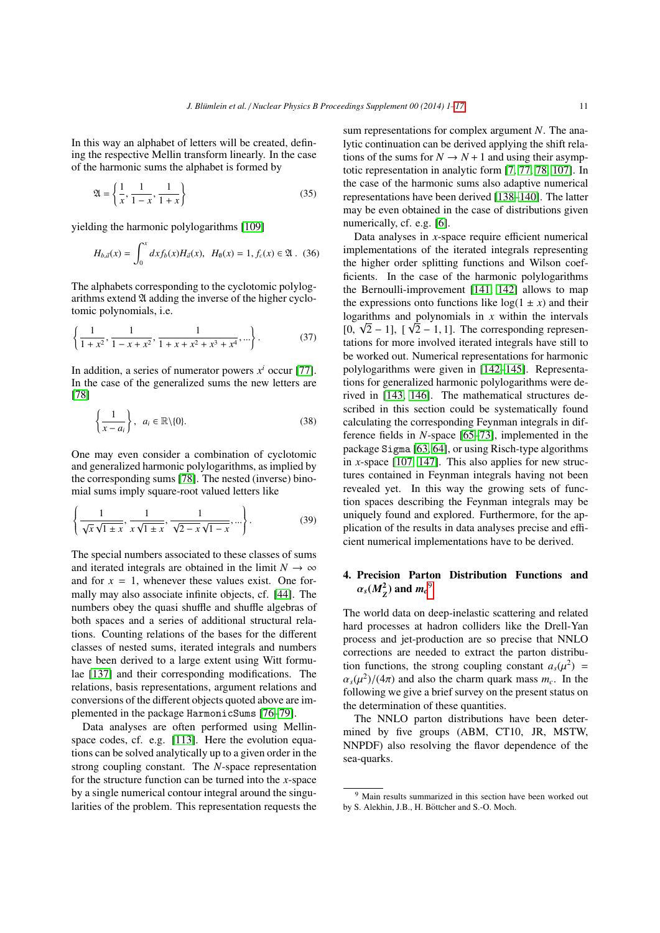In this way an alphabet of letters will be created, defining the respective Mellin transform linearly. In the case of the harmonic sums the alphabet is formed by

$$
\mathfrak{A} = \left\{ \frac{1}{x}, \frac{1}{1-x}, \frac{1}{1+x} \right\} \tag{35}
$$

yielding the harmonic polylogarithms [\[109\]](#page-15-16)

$$
H_{b,\vec{a}}(x) = \int_0^x dx f_b(x) H_{\vec{a}}(x), \quad H_0(x) = 1, f_c(x) \in \mathfrak{A} \ . \tag{36}
$$

The alphabets corresponding to the cyclotomic polylogarithms extend  $\mathfrak A$  adding the inverse of the higher cyclotomic polynomials, i.e.

$$
\left\{\frac{1}{1+x^2}, \frac{1}{1-x+x^2}, \frac{1}{1+x+x^2+x^3+x^4}, \ldots\right\}.
$$
 (37)

In addition, a series of numerator powers  $x^i$  occur [\[77\]](#page-14-32). In the case of the generalized sums the new letters are [\[78\]](#page-14-31)

$$
\left\{\frac{1}{x-a_i}\right\}, a_i \in \mathbb{R} \setminus \{0\}.
$$
 (38)

One may even consider a combination of cyclotomic and generalized harmonic polylogarithms, as implied by the corresponding sums [\[78\]](#page-14-31). The nested (inverse) binomial sums imply square-root valued letters like

$$
\left\{\frac{1}{\sqrt{x}\sqrt{1\pm x}}, \frac{1}{x\sqrt{1\pm x}}, \frac{1}{\sqrt{2-x}\sqrt{1-x}}, ...\right\}.
$$
 (39)

The special numbers associated to these classes of sums and iterated integrals are obtained in the limit  $N \to \infty$ and for  $x = 1$ , whenever these values exist. One formally may also associate infinite objects, cf. [\[44\]](#page-13-40). The numbers obey the quasi shuffle and shuffle algebras of both spaces and a series of additional structural relations. Counting relations of the bases for the different classes of nested sums, iterated integrals and numbers have been derived to a large extent using Witt formulae [\[137\]](#page-16-0) and their corresponding modifications. The relations, basis representations, argument relations and conversions of the different objects quoted above are implemented in the package HarmonicSums [\[76](#page-14-14)[–79\]](#page-14-15).

Data analyses are often performed using Mellinspace codes, cf. e.g. [\[113\]](#page-15-20). Here the evolution equations can be solved analytically up to a given order in the strong coupling constant. The *N*-space representation for the structure function can be turned into the *x*-space by a single numerical contour integral around the singularities of the problem. This representation requests the sum representations for complex argument *N*. The analytic continuation can be derived applying the shift relations of the sums for  $N \rightarrow N+1$  and using their asymptotic representation in analytic form [\[7,](#page-13-4) [77,](#page-14-32) [78,](#page-14-31) [107\]](#page-15-14). In the case of the harmonic sums also adaptive numerical representations have been derived [\[138–](#page-16-1)[140\]](#page-16-2). The latter may be even obtained in the case of distributions given numerically, cf. e.g. [\[6\]](#page-13-3).

Data analyses in *x*-space require efficient numerical implementations of the iterated integrals representing the higher order splitting functions and Wilson coefficients. In the case of the harmonic polylogarithms the Bernoulli-improvement [\[141,](#page-16-3) [142\]](#page-16-4) allows to map the expressions onto functions like  $log(1 \pm x)$  and their logarithms and polynomials in *x* within the intervals [0,  $\sqrt{2} - 1$ ], [ $\sqrt{2} - 1$ , 1]. The corresponding representations for more involved iterated integrals have still to tations for more involved iterated integrals have still to be worked out. Numerical representations for harmonic polylogarithms were given in [\[142](#page-16-4)[–145\]](#page-16-5). Representations for generalized harmonic polylogarithms were derived in [\[143,](#page-16-6) [146\]](#page-16-7). The mathematical structures described in this section could be systematically found calculating the corresponding Feynman integrals in difference fields in *N*-space [\[65–](#page-14-10)[73\]](#page-14-11), implemented in the package Sigma [\[63,](#page-14-8) [64\]](#page-14-9), or using Risch-type algorithms in *x*-space [\[107,](#page-15-14) [147\]](#page-16-8). This also applies for new structures contained in Feynman integrals having not been revealed yet. In this way the growing sets of function spaces describing the Feynman integrals may be uniquely found and explored. Furthermore, for the application of the results in data analyses precise and efficient numerical implementations have to be derived.

# 4. Precision Parton Distribution Functions and  $\alpha_s(M_Z^2)$  and  $m_c^9$  $m_c^9$

The world data on deep-inelastic scattering and related hard processes at hadron colliders like the Drell-Yan process and jet-production are so precise that NNLO corrections are needed to extract the parton distribution functions, the strong coupling constant  $a_s(\mu^2) = \alpha (u^2)/(4\pi)$  and also the charm quark mass m. In the  $\alpha_s(\mu^2)/(4\pi)$  and also the charm quark mass  $m_c$ . In the following we give a brief survey on the present status on following we give a brief survey on the present status on the determination of these quantities.

The NNLO parton distributions have been determined by five groups (ABM, CT10, JR, MSTW, NNPDF) also resolving the flavor dependence of the sea-quarks.

<span id="page-10-0"></span><sup>9</sup> Main results summarized in this section have been worked out by S. Alekhin, J.B., H. Böttcher and S.-O. Moch.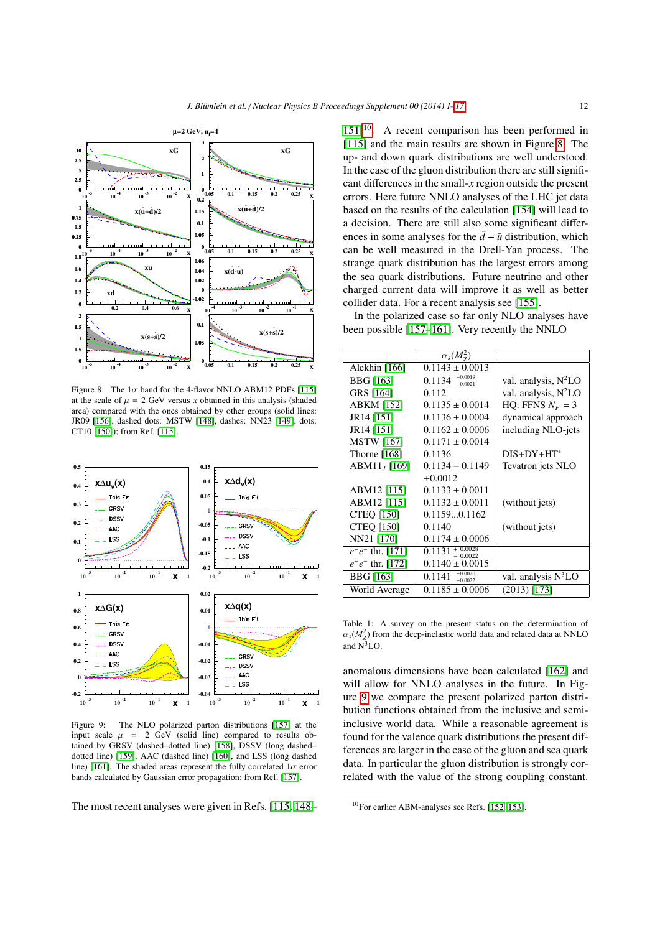

<span id="page-11-1"></span>Figure 8: The  $1\sigma$  band for the 4-flavor NNLO ABM12 PDFs [\[115\]](#page-15-22) at the scale of  $\mu = 2$  GeV versus *x* obtained in this analysis (shaded area) compared with the ones obtained by other groups (solid lines: JR09 [\[156\]](#page-16-9), dashed dots: MSTW [\[148\]](#page-16-10), dashes: NN23 [\[149\]](#page-16-11), dots: CT10 [\[150\]](#page-16-12)); from Ref. [\[115\]](#page-15-22).



<span id="page-11-2"></span>Figure 9: The NLO polarized parton distributions [\[157\]](#page-16-13) at the input scale  $\mu$  = 2 GeV (solid line) compared to results obtained by GRSV (dashed–dotted line) [\[158\]](#page-16-14), DSSV (long dashed– dotted line) [\[159\]](#page-16-15), AAC (dashed line) [\[160\]](#page-16-16), and LSS (long dashed line) [\[161\]](#page-16-17). The shaded areas represent the fully correlated  $1\sigma$  error bands calculated by Gaussian error propagation; from Ref. [\[157\]](#page-16-13).

The most recent analyses were given in Refs. [\[115,](#page-15-22) [148–](#page-16-10)

 $151$ <sup> $10$ </sup>. A recent comparison has been performed in [\[115\]](#page-15-22) and the main results are shown in Figure [8.](#page-11-1) The up- and down quark distributions are well understood. In the case of the gluon distribution there are still significant differences in the small-*x* region outside the present errors. Here future NNLO analyses of the LHC jet data based on the results of the calculation [\[154\]](#page-16-19) will lead to a decision. There are still also some significant differences in some analyses for the  $\bar{d}$  −  $\bar{u}$  distribution, which can be well measured in the Drell-Yan process. The strange quark distribution has the largest errors among the sea quark distributions. Future neutrino and other charged current data will improve it as well as better collider data. For a recent analysis see [\[155\]](#page-16-20).

In the polarized case so far only NLO analyses have been possible [\[157](#page-16-13)[–161\]](#page-16-17). Very recently the NNLO

|                     | $\alpha_s(M_\text{Z}^2)$                    |                                  |
|---------------------|---------------------------------------------|----------------------------------|
| Alekhin [166]       | $0.1143 \pm 0.0013$                         |                                  |
| <b>BBG</b> [163]    | $+0.0019$<br>0.1134<br>$-0.0021$            | val. analysis, N <sup>2</sup> LO |
| GRS [164]           | 0.112                                       | val. analysis, N <sup>2</sup> LO |
| ABKM [152]          | $0.1135 \pm 0.0014$                         | HO: FFNS $N_F = 3$               |
| JR14 [151]          | $0.1136 \pm 0.0004$                         | dynamical approach               |
| JR14 [151]          | $0.1162 \pm 0.0006$                         | including NLO-jets               |
| <b>MSTW</b> [167]   | $0.1171 \pm 0.0014$                         |                                  |
| Thorne $[168]$      | 0.1136                                      | $DIS+DY+HT^*$                    |
| $ABM11_J [169]$     | $0.1134 - 0.1149$                           | Tevatron jets NLO                |
|                     | $\pm 0.0012$                                |                                  |
| ABM12 [115]         | $0.1133 \pm 0.0011$                         |                                  |
| ABM12 [115]         | $0.1132 \pm 0.0011$                         | (without jets)                   |
| <b>CTEQ</b> [150]   | 0.11590.1162                                |                                  |
| <b>CTEQ [150]</b>   | 0.1140                                      | (without jets)                   |
| NN21 [170]          | $0.1174 \pm 0.0006$                         |                                  |
| $e^+e^-$ thr. [171] | $0.1\overline{131} + \frac{0.0028}{0.0022}$ |                                  |
| $e^+e^-$ thr. [172] | $0.1140 \pm 0.0015$                         |                                  |
| <b>BBG</b> [163]    | $+0.0020$<br>0.1141<br>$-0.0022$            | val. analysis N <sup>3</sup> LO  |
| World Average       | $0.1185 \pm 0.0006$                         | $(2013)$ [173]                   |
|                     |                                             |                                  |

Table 1: A survey on the present status on the determination of  $\alpha_s(M_Z^2)$  from the deep-inelastic world data and related data at NNLO and  $N^3$ LO.

anomalous dimensions have been calculated [\[162\]](#page-16-32) and will allow for NNLO analyses in the future. In Figure [9](#page-11-2) we compare the present polarized parton distribution functions obtained from the inclusive and semiinclusive world data. While a reasonable agreement is found for the valence quark distributions the present differences are larger in the case of the gluon and sea quark data. In particular the gluon distribution is strongly correlated with the value of the strong coupling constant.

<span id="page-11-0"></span><sup>&</sup>lt;sup>10</sup>For earlier ABM-analyses see Refs. [\[152,](#page-16-24) [153\]](#page-16-33).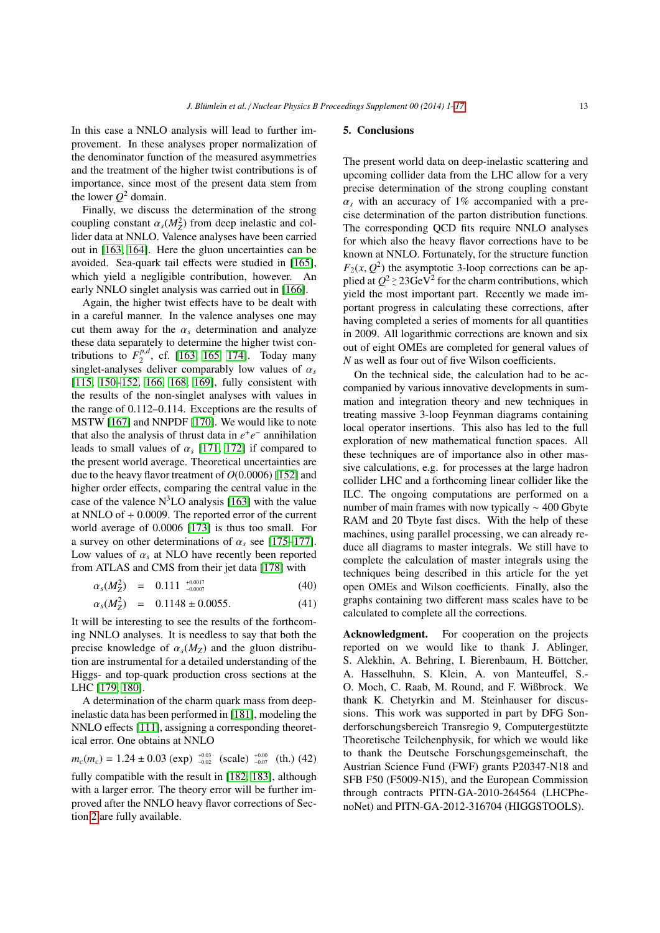In this case a NNLO analysis will lead to further improvement. In these analyses proper normalization of the denominator function of the measured asymmetries and the treatment of the higher twist contributions is of importance, since most of the present data stem from the lower  $Q^2$  domain.

Finally, we discuss the determination of the strong coupling constant  $\alpha_s(M_Z^2)$  from deep inelastic and col-<br>lider data at NNI O. Valence analyses have been carried lider data at NNLO. Valence analyses have been carried out in [\[163,](#page-16-22) [164\]](#page-16-23). Here the gluon uncertainties can be avoided. Sea-quark tail effects were studied in [\[165\]](#page-16-34), which yield a negligible contribution, however. An early NNLO singlet analysis was carried out in [\[166\]](#page-16-21).

Again, the higher twist effects have to be dealt with in a careful manner. In the valence analyses one may cut them away for the  $\alpha_s$  determination and analyze these data separately to determine the higher twist contributions to  $F_2^{p,d}$ , cf. [\[163,](#page-16-22) [165,](#page-16-34) [174\]](#page-16-35). Today many singlet-analyses deliver comparably low values of  $\alpha_s$ [\[115,](#page-15-22) [150–](#page-16-12)[152,](#page-16-24) [166,](#page-16-21) [168,](#page-16-26) [169\]](#page-16-27), fully consistent with the results of the non-singlet analyses with values in the range of 0.112–0.114. Exceptions are the results of MSTW [\[167\]](#page-16-25) and NNPDF [\[170\]](#page-16-28). We would like to note that also the analysis of thrust data in  $e^+e^-$  annihilation leads to small values of  $\alpha_s$  [\[171,](#page-16-29) [172\]](#page-16-30) if compared to the present world average. Theoretical uncertainties are due to the heavy flavor treatment of *<sup>O</sup>*(0.0006) [\[152\]](#page-16-24) and higher order effects, comparing the central value in the case of the valence  $N<sup>3</sup>LO$  analysis [\[163\]](#page-16-22) with the value at NNLO of + 0.0009. The reported error of the current world average of 0.0006 [\[173\]](#page-16-31) is thus too small. For a survey on other determinations of  $\alpha_s$  see [\[175–](#page-16-36)[177\]](#page-16-37). Low values of  $\alpha_s$  at NLO have recently been reported from ATLAS and CMS from their jet data [\[178\]](#page-16-38) with

$$
\alpha_s(M_Z^2) = 0.111^{+0.0017 \atop -0.0007} \tag{40}
$$

$$
\alpha_s(M_Z^2) = 0.1148 \pm 0.0055. \tag{41}
$$

It will be interesting to see the results of the forthcoming NNLO analyses. It is needless to say that both the precise knowledge of  $\alpha_s(M_Z)$  and the gluon distribution are instrumental for a detailed understanding of the Higgs- and top-quark production cross sections at the LHC [\[179,](#page-16-39) [180\]](#page-16-40).

A determination of the charm quark mass from deepinelastic data has been performed in [\[181\]](#page-16-41), modeling the NNLO effects [\[111\]](#page-15-18), assigning a corresponding theoretical error. One obtains at NNLO

$$
m_c(m_c) = 1.24 \pm 0.03 \text{ (exp)} \, \, \substack{^{+0.03}_{-0.02}} \, \text{(scale)} \, \substack{^{+0.00}_{-0.07}} \, \text{(th.)} \, (42)
$$

fully compatible with the result in [\[182,](#page-16-42) [183\]](#page-16-43), although with a larger error. The theory error will be further improved after the NNLO heavy flavor corrections of Section [2](#page-1-3) are fully available.

## 5. Conclusions

The present world data on deep-inelastic scattering and upcoming collider data from the LHC allow for a very precise determination of the strong coupling constant  $\alpha_s$  with an accuracy of 1% accompanied with a precise determination of the parton distribution functions. The corresponding QCD fits require NNLO analyses for which also the heavy flavor corrections have to be known at NNLO. Fortunately, for the structure function  $F_2(x, Q^2)$  the asymptotic 3-loop corrections can be ap-<br>plied at  $Q^2 > 23 \text{GeV}^2$  for the charm contributions which plied at  $Q^2 \ge 23 \text{GeV}^2$  for the charm contributions, which yield the most important part. Recently we made important progress in calculating these corrections, after having completed a series of moments for all quantities in 2009. All logarithmic corrections are known and six out of eight OMEs are completed for general values of *N* as well as four out of five Wilson coefficients.

On the technical side, the calculation had to be accompanied by various innovative developments in summation and integration theory and new techniques in treating massive 3-loop Feynman diagrams containing local operator insertions. This also has led to the full exploration of new mathematical function spaces. All these techniques are of importance also in other massive calculations, e.g. for processes at the large hadron collider LHC and a forthcoming linear collider like the ILC. The ongoing computations are performed on a number of main frames with now typically ∼ 400 Gbyte RAM and 20 Tbyte fast discs. With the help of these machines, using parallel processing, we can already reduce all diagrams to master integrals. We still have to complete the calculation of master integrals using the techniques being described in this article for the yet open OMEs and Wilson coefficients. Finally, also the graphs containing two different mass scales have to be calculated to complete all the corrections.

Acknowledgment. For cooperation on the projects reported on we would like to thank J. Ablinger, S. Alekhin, A. Behring, I. Bierenbaum, H. Böttcher, A. Hasselhuhn, S. Klein, A. von Manteuffel, S.- O. Moch, C. Raab, M. Round, and F. Wißbrock. We thank K. Chetyrkin and M. Steinhauser for discussions. This work was supported in part by DFG Sonderforschungsbereich Transregio 9, Computergestutzte ¨ Theoretische Teilchenphysik, for which we would like to thank the Deutsche Forschungsgemeinschaft, the Austrian Science Fund (FWF) grants P20347-N18 and SFB F50 (F5009-N15), and the European Commission through contracts PITN-GA-2010-264564 (LHCPhenoNet) and PITN-GA-2012-316704 (HIGGSTOOLS).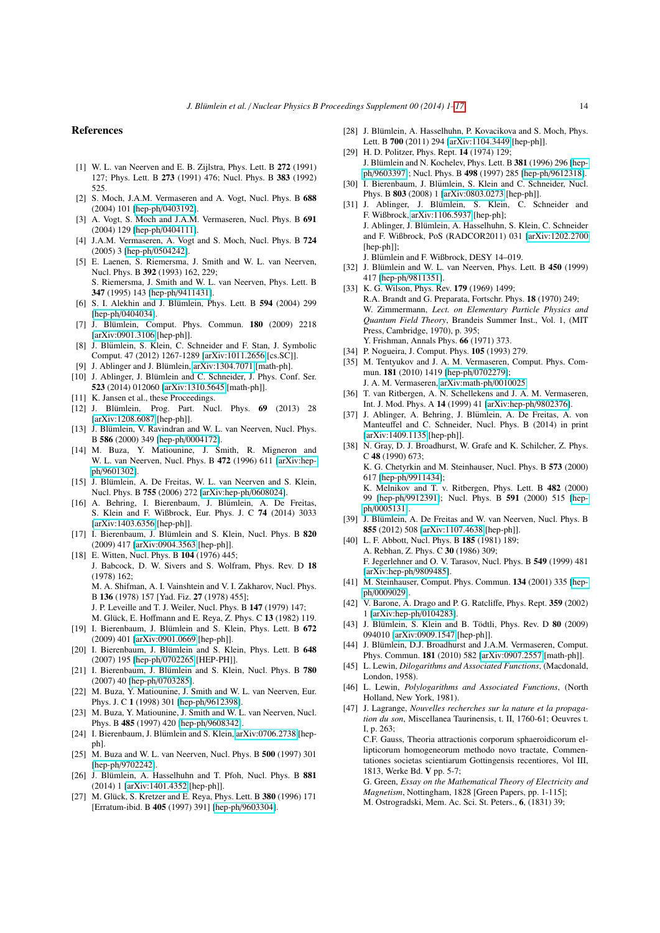#### <span id="page-13-9"></span>References

- <span id="page-13-0"></span>[1] W. L. van Neerven and E. B. Zijlstra, Phys. Lett. B 272 (1991) 127; Phys. Lett. B 273 (1991) 476; Nucl. Phys. B 383 (1992) 525.
- <span id="page-13-45"></span>[2] S. Moch, J.A.M. Vermaseren and A. Vogt, Nucl. Phys. B 688 (2004) 101 [hep-ph/[0403192\]](http://arxiv.org/abs/hep-ph/0403192).
- <span id="page-13-44"></span>[3] A. Vogt, S. Moch and J.A.M. Vermaseren, Nucl. Phys. B 691 (2004) 129 [hep-ph/[0404111\]](http://arxiv.org/abs/hep-ph/0404111).
- <span id="page-13-1"></span>[4] J.A.M. Vermaseren, A. Vogt and S. Moch, Nucl. Phys. B 724 (2005) 3 [hep-ph/[0504242\]](http://arxiv.org/abs/hep-ph/0504242).
- <span id="page-13-2"></span>[5] E. Laenen, S. Riemersma, J. Smith and W. L. van Neerven, Nucl. Phys. B 392 (1993) 162, 229; S. Riemersma, J. Smith and W. L. van Neerven, Phys. Lett. B 347 (1995) 143 [hep-ph/[9411431\]](http://arxiv.org/abs/hep-ph/9411431).
- <span id="page-13-3"></span>[6] S. I. Alekhin and J. Blümlein, Phys. Lett. B 594 (2004) 299 [hep-ph/[0404034\]](http://arxiv.org/abs/hep-ph/0404034).
- <span id="page-13-4"></span>[7] J. Blümlein, Comput. Phys. Commun. **180** (2009) 2218 [\[arXiv:0901.3106](http://arxiv.org/abs/0901.3106) [hep-ph]].
- <span id="page-13-5"></span>[8] J. Blümlein, S. Klein, C. Schneider and F. Stan, J. Symbolic Comput. 47 (2012) 1267-1289 [\[arXiv:1011.2656](http://arxiv.org/abs/1011.2656) [cs.SC]].
- <span id="page-13-7"></span>[9] J. Ablinger and J. Blümlein, [arXiv:1304.7071](http://arxiv.org/abs/1304.7071) [math-ph].
- <span id="page-13-8"></span>[10] J. Ablinger, J. Blümlein and C. Schneider, J. Phys. Conf. Ser. 523 (2014) 012060 [\[arXiv:1310.5645](http://arxiv.org/abs/1310.5645) [math-ph]].
- <span id="page-13-6"></span>[11] K. Jansen et al., these Proceedings.
- <span id="page-13-10"></span>[12] J. Blümlein, Prog. Part. Nucl. Phys. 69 (2013) 28 [\[arXiv:1208.6087](http://arxiv.org/abs/1208.6087) [hep-ph]].
- <span id="page-13-14"></span>[13] J. Blümlein, V. Ravindran and W. L. van Neerven, Nucl. Phys. B 586 (2000) 349 [hep-ph/[0004172\]](http://arxiv.org/abs/hep-ph/0004172).
- <span id="page-13-11"></span>[14] M. Buza, Y. Matiounine, J. Smith, R. Migneron and W. L. van Neerven, Nucl. Phys. B 472 (1996) 611 [\[arXiv:hep](http://arxiv.org/abs/hep-ph/9601302)ph/[9601302\]](http://arxiv.org/abs/hep-ph/9601302).
- <span id="page-13-12"></span>[15] J. Blümlein, A. De Freitas, W. L. van Neerven and S. Klein, Nucl. Phys. B 755 (2006) 272 [\[arXiv:hep-ph](http://arxiv.org/abs/hep-ph/0608024)/0608024].
- <span id="page-13-13"></span>[16] A. Behring, I. Bierenbaum, J. Blümlein, A. De Freitas, S. Klein and F. Wißbrock, Eur. Phys. J. C 74 (2014) 3033 [\[arXiv:1403.6356](http://arxiv.org/abs/1403.6356) [hep-ph]].
- <span id="page-13-15"></span>[17] I. Bierenbaum, J. Blümlein and S. Klein, Nucl. Phys. B 820 (2009) 417 [\[arXiv:0904.3563](http://arxiv.org/abs/0904.3563) [hep-ph]].
- <span id="page-13-16"></span>[18] E. Witten, Nucl. Phys. B 104 (1976) 445; J. Babcock, D. W. Sivers and S. Wolfram, Phys. Rev. D 18 (1978) 162; M. A. Shifman, A. I. Vainshtein and V. I. Zakharov, Nucl. Phys. B 136 (1978) 157 [Yad. Fiz. 27 (1978) 455]; J. P. Leveille and T. J. Weiler, Nucl. Phys. B 147 (1979) 147; M. Glück, E. Hoffmann and E. Reya, Z. Phys. C 13 (1982) 119. [19] I. Bierenbaum, J. Blümlein and S. Klein, Phys. Lett. B 672
- <span id="page-13-17"></span>(2009) 401 [\[arXiv:0901.0669](http://arxiv.org/abs/0901.0669) [hep-ph]].
- [20] I. Bierenbaum, J. Blümlein and S. Klein, Phys. Lett. B 648 (2007) 195 [hep-ph/[0702265](http://arxiv.org/abs/hep-ph/0702265) [HEP-PH]].
- [21] I. Bierenbaum, J. Blümlein and S. Klein, Nucl. Phys. B 780 (2007) 40 [hep-ph/[0703285\]](http://arxiv.org/abs/hep-ph/0703285).
- <span id="page-13-18"></span>[22] M. Buza, Y. Matiounine, J. Smith and W. L. van Neerven, Eur. Phys. J. C 1 (1998) 301 [hep-ph/[9612398\]](http://arxiv.org/abs/hep-ph/9612398).
- <span id="page-13-19"></span>[23] M. Buza, Y. Matiounine, J. Smith and W. L. van Neerven, Nucl. Phys. B 485 (1997) 420 [hep-ph/[9608342\]](http://arxiv.org/abs/hep-ph/9608342).
- <span id="page-13-20"></span>[24] I. Bierenbaum, J. Blümlein and S. Klein, [arXiv:0706.2738](http://arxiv.org/abs/0706.2738) [hepph].
- <span id="page-13-21"></span>[25] M. Buza and W. L. van Neerven, Nucl. Phys. B 500 (1997) 301 [hep-ph/[9702242\]](http://arxiv.org/abs/hep-ph/9702242).
- <span id="page-13-22"></span>[26] J. Blümlein, A. Hasselhuhn and T. Pfoh, Nucl. Phys. B 881 (2014) 1 [\[arXiv:1401.4352](http://arxiv.org/abs/1401.4352) [hep-ph]].
- <span id="page-13-25"></span>[27] M. Glück, S. Kretzer and E. Reya, Phys. Lett. B 380 (1996) 171 [Erratum-ibid. B 405 (1997) 391] [hep-ph/[9603304\]](http://arxiv.org/abs/hep-ph/9603304).
- <span id="page-13-26"></span>[28] J. Blümlein, A. Hasselhuhn, P. Kovacikova and S. Moch, Phys. Lett. B 700 (2011) 294 [\[arXiv:1104.3449](http://arxiv.org/abs/1104.3449) [hep-ph]].
- <span id="page-13-23"></span>[29] H. D. Politzer, Phys. Rept. 14 (1974) 129; J. Blümlein and N. Kochelev, Phys. Lett. B 381 (1996) 296 [\[hep](http://arxiv.org/abs/hep-ph/9603397)ph/[9603397\]](http://arxiv.org/abs/hep-ph/9603397); Nucl. Phys. B 498 (1997) 285 [hep-ph/[9612318\]](http://arxiv.org/abs/hep-ph/9612318).
- <span id="page-13-24"></span>[30] I. Bierenbaum, J. Blümlein, S. Klein and C. Schneider, Nucl. Phys. B 803 (2008) 1 [\[arXiv:0803.0273](http://arxiv.org/abs/0803.0273) [hep-ph]].
- <span id="page-13-27"></span>[31] J. Ablinger, J. Blümlein, S. Klein, C. Schneider and F. Wißbrock, [arXiv:1106.5937](http://arxiv.org/abs/1106.5937) [hep-ph]; J. Ablinger, J. Blumlein, A. Hasselhuhn, S. Klein, C. Schneider ¨ and F. Wißbrock, PoS (RADCOR2011) 031 [\[arXiv:1202.2700](http://arxiv.org/abs/1202.2700) [hep-ph]];
	- J. Blümlein and F. Wißbrock, DESY 14-019.
- <span id="page-13-28"></span>[32] J. Blümlein and W. L. van Neerven, Phys. Lett. B 450 (1999) 417 [hep-ph/[9811351\]](http://arxiv.org/abs/hep-ph/9811351).
- <span id="page-13-29"></span>[33] K. G. Wilson, Phys. Rev. 179 (1969) 1499; R.A. Brandt and G. Preparata, Fortschr. Phys. 18 (1970) 249; W. Zimmermann, *Lect. on Elementary Particle Physics and Quantum Field Theory*, Brandeis Summer Inst., Vol. 1, (MIT Press, Cambridge, 1970), p. 395; Y. Frishman, Annals Phys. 66 (1971) 373.
- <span id="page-13-30"></span>[34] P. Nogueira, J. Comput. Phys. **105** (1993) 279.
- <span id="page-13-31"></span>[35] M. Tentyukov and J. A. M. Vermaseren, Comput. Phys. Commun. 181 (2010) 1419 [hep-ph/[0702279\]](http://arxiv.org/abs/hep-ph/0702279); J. A. M. Vermaseren, [arXiv:math-ph](http://arxiv.org/abs/math-ph/0010025)/0010025.
- <span id="page-13-32"></span>[36] T. van Ritbergen, A. N. Schellekens and J. A. M. Vermaseren, Int. J. Mod. Phys. A 14 (1999) 41 [\[arXiv:hep-ph](http://arxiv.org/abs/hep-ph/9802376)/9802376].
- <span id="page-13-33"></span>[37] J. Ablinger, A. Behring, J. Blümlein, A. De Freitas, A. von Manteuffel and C. Schneider, Nucl. Phys. B (2014) in print [\[arXiv:1409.1135](http://arxiv.org/abs/1409.1135) [hep-ph]].
- <span id="page-13-34"></span>[38] N. Gray, D. J. Broadhurst, W. Grafe and K. Schilcher, Z. Phys. C 48 (1990) 673;

K. G. Chetyrkin and M. Steinhauser, Nucl. Phys. B 573 (2000) 617 [hep-ph/[9911434\]](http://arxiv.org/abs/hep-ph/9911434);

K. Melnikov and T. v. Ritbergen, Phys. Lett. B 482 (2000) 99 [hep-ph/[9912391\]](http://arxiv.org/abs/hep-ph/9912391); Nucl. Phys. B 591 (2000) 515 [\[hep](http://arxiv.org/abs/hep-ph/0005131)ph/[0005131\]](http://arxiv.org/abs/hep-ph/0005131).

- <span id="page-13-39"></span>[39] J. Blümlein, A. De Freitas and W. van Neerven, Nucl. Phys. B 855 (2012) 508 [\[arXiv:1107.4638](http://arxiv.org/abs/1107.4638) [hep-ph]].
- <span id="page-13-35"></span>[40] L. F. Abbott, Nucl. Phys. B **185** (1981) 189; A. Rebhan, Z. Phys. C 30 (1986) 309; F. Jegerlehner and O. V. Tarasov, Nucl. Phys. B 549 (1999) 481 [\[arXiv:hep-ph](http://arxiv.org/abs/hep-ph/9809485)/9809485].
- <span id="page-13-36"></span>[41] M. Steinhauser, Comput. Phys. Commun. **134** (2001) 335 [\[hep](http://arxiv.org/abs/hep-ph/0009029)ph/[0009029\]](http://arxiv.org/abs/hep-ph/0009029).
- <span id="page-13-37"></span>[42] V. Barone, A. Drago and P. G. Ratcliffe, Phys. Rept. 359 (2002) 1 [\[arXiv:hep-ph](http://arxiv.org/abs/hep-ph/0104283)/0104283].
- <span id="page-13-38"></span>[43] J. Blümlein, S. Klein and B. Tödtli, Phys. Rev. D 80 (2009) 094010 [\[arXiv:0909.1547](http://arxiv.org/abs/0909.1547) [hep-ph]].
- <span id="page-13-40"></span>[44] J. Blümlein, D.J. Broadhurst and J.A.M. Vermaseren, Comput. Phys. Commun. 181 (2010) 582 [\[arXiv:0907.2557](http://arxiv.org/abs/0907.2557) [math-ph]].
- <span id="page-13-41"></span>[45] L. Lewin, *Dilogarithms and Associated Functions*, (Macdonald, London, 1958).
- <span id="page-13-42"></span>[46] L. Lewin, *Polylogarithms and Associated Functions*, (North Holland, New York, 1981).
- <span id="page-13-43"></span>[47] J. Lagrange, *Nouvelles recherches sur la nature et la propagation du son*, Miscellanea Taurinensis, t. II, 1760-61; Oeuvres t. I, p. 263;

C.F. Gauss, Theoria attractionis corporum sphaeroidicorum ellipticorum homogeneorum methodo novo tractate, Commentationes societas scientiarum Gottingensis recentiores, Vol III, 1813, Werke Bd. V pp. 5-7;

G. Green, *Essay on the Mathematical Theory of Electricity and Magnetism*, Nottingham, 1828 [Green Papers, pp. 1-115]; M. Ostrogradski, Mem. Ac. Sci. St. Peters., 6, (1831) 39;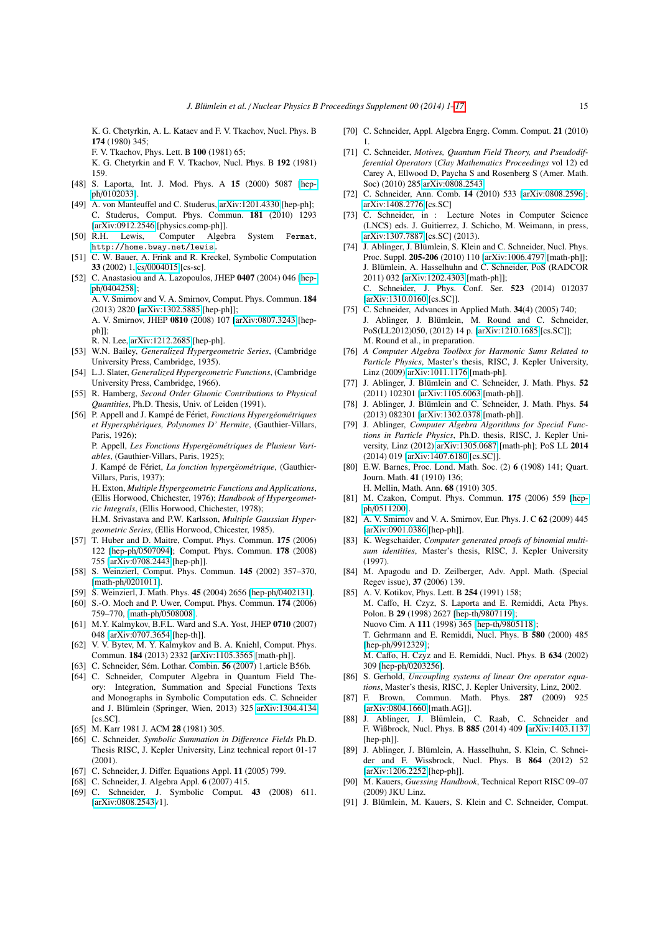K. G. Chetyrkin, A. L. Kataev and F. V. Tkachov, Nucl. Phys. B 174 (1980) 345;

F. V. Tkachov, Phys. Lett. B 100 (1981) 65;

K. G. Chetyrkin and F. V. Tkachov, Nucl. Phys. B 192 (1981) 159.

- <span id="page-14-0"></span>[48] S. Laporta, Int. J. Mod. Phys. A 15 (2000) 5087 [\[hep](http://arxiv.org/abs/hep-ph/0102033)ph/[0102033\]](http://arxiv.org/abs/hep-ph/0102033).
- <span id="page-14-1"></span>[49] A. von Manteuffel and C. Studerus, [arXiv:1201.4330](http://arxiv.org/abs/1201.4330) [hep-ph]; C. Studerus, Comput. Phys. Commun. 181 (2010) 1293 [\[arXiv:0912.2546](http://arxiv.org/abs/0912.2546) [physics.comp-ph]].
- <span id="page-14-17"></span>[50] R.H. Lewis, Computer Algebra System Fermat, [http://home.bway.net/lewis.](http://home.bway.net/lewis)
- <span id="page-14-18"></span>[51] C. W. Bauer, A. Frink and R. Kreckel, Symbolic Computation 33 (2002) 1, cs/[0004015](http://arxiv.org/abs/cs/0004015) [cs-sc].
- <span id="page-14-19"></span>[52] C. Anastasiou and A. Lazopoulos, JHEP 0407 (2004) 046 [\[hep](http://arxiv.org/abs/hep-ph/0404258)ph/[0404258\]](http://arxiv.org/abs/hep-ph/0404258); A. V. Smirnov and V. A. Smirnov, Comput. Phys. Commun. 184 (2013) 2820 [\[arXiv:1302.5885](http://arxiv.org/abs/1302.5885) [hep-ph]];

A. V. Smirnov, JHEP 0810 (2008) 107 [\[arXiv:0807.3243](http://arxiv.org/abs/0807.3243) [hepph<sub>11</sub>:

R. N. Lee, [arXiv:1212.2685](http://arxiv.org/abs/1212.2685) [hep-ph].

- <span id="page-14-2"></span>[53] W.N. Bailey, *Generalized Hypergeometric Series*, (Cambridge University Press, Cambridge, 1935).
- <span id="page-14-3"></span>[54] L.J. Slater, *Generalized Hypergeometric Functions*, (Cambridge University Press, Cambridge, 1966).
- <span id="page-14-4"></span>[55] R. Hamberg, *Second Order Gluonic Contributions to Physical Quantities*, Ph.D. Thesis, Univ. of Leiden (1991).
- <span id="page-14-5"></span>[56] P. Appell and J. Kampé de Fériet, *Fonctions Hypergéométriques et Hypersph´eriques, Polynomes D' Hermite*, (Gauthier-Villars, Paris, 1926);

P. Appell, Les Fonctions Hypergëométriques de Plusieur Vari*ables*, (Gauthier-Villars, Paris, 1925);

J. Kampé de Fériet, *La fonction hypergëométrique*, (Gauthier-Villars, Paris, 1937);

H. Exton, *Multiple Hypergeometric Functions and Applications*, (Ellis Horwood, Chichester, 1976); *Handbook of Hypergeometric Integrals*, (Ellis Horwood, Chichester, 1978);

H.M. Srivastava and P.W. Karlsson, *Multiple Gaussian Hypergeometric Series*, (Ellis Horwood, Chicester, 1985).

- <span id="page-14-6"></span>[57] T. Huber and D. Maitre, Comput. Phys. Commun. 175 (2006) 122 [hep-ph/[0507094\]](http://arxiv.org/abs/hep-ph/0507094); Comput. Phys. Commun. 178 (2008) 755 [\[arXiv:0708.2443](http://arxiv.org/abs/0708.2443) [hep-ph]].
- [58] S. Weinzierl, Comput. Phys. Commun. 145 (2002) 357–370, [math-ph/[0201011\]](http://arxiv.org/abs/math-ph/0201011).
- [59] S. Weinzierl, J. Math. Phys. 45 (2004) 2656 [hep-ph/[0402131\]](http://arxiv.org/abs/hep-ph/0402131).
- [60] S.-O. Moch and P. Uwer, Comput. Phys. Commun. **174** (2006) 759–770, [math-ph/[0508008\]](http://arxiv.org/abs/math-ph/0508008).
- [61] M.Y. Kalmykov, B.F.L. Ward and S.A. Yost, JHEP 0710 (2007) 048 [\[arXiv:0707.3654](http://arxiv.org/abs/0707.3654) [hep-th]].
- <span id="page-14-7"></span>[62] V. V. Bytev, M. Y. Kalmykov and B. A. Kniehl, Comput. Phys. Commun. 184 (2013) 2332 [\[arXiv:1105.3565](http://arxiv.org/abs/1105.3565) [math-ph]].
- <span id="page-14-8"></span>[63] C. Schneider, Sém. Lothar. Combin. **56** (2007) 1,article B56b.
- <span id="page-14-9"></span>[64] C. Schneider, Computer Algebra in Quantum Field Theory: Integration, Summation and Special Functions Texts and Monographs in Symbolic Computation eds. C. Schneider and J. Blümlein (Springer, Wien, 2013) 325 [arXiv:1304.4134](http://arxiv.org/abs/1304.4134)  $[cs. SC]$ .
- <span id="page-14-10"></span>[65] M. Karr 1981 J. ACM 28 (1981) 305.
- [66] C. Schneider, *Symbolic Summation in Di*ff*erence Fields* Ph.D. Thesis RISC, J. Kepler University, Linz technical report 01-17 (2001).
- [67] C. Schneider, J. Differ. Equations Appl. 11 (2005) 799.
- [68] C. Schneider, J. Algebra Appl. 6 (2007) 415.
- [69] C. Schneider, J. Symbolic Comput. 43 (2008) 611. [\[arXiv:0808.2543v](http://arxiv.org/abs/0808.2543)1].
- [70] C. Schneider, Appl. Algebra Engrg. Comm. Comput. 21 (2010) 1.
- [71] C. Schneider, *Motives, Quantum Field Theory, and Pseudodifferential Operators* (*Clay Mathematics Proceedings* vol 12) ed Carey A, Ellwood D, Paycha S and Rosenberg S (Amer. Math. Soc) (2010) 285 [arXiv:0808.2543.](http://arxiv.org/abs/0808.2543)
- [72] C. Schneider, Ann. Comb. 14 (2010) 533 [\[arXiv:0808.2596\]](http://arxiv.org/abs/0808.2596); [arXiv:1408.2776](http://arxiv.org/abs/1408.2776) [cs.SC]
- <span id="page-14-11"></span>[73] C. Schneider, in : Lecture Notes in Computer Science (LNCS) eds. J. Guitierrez, J. Schicho, M. Weimann, in press, [arXiv:1307.7887](http://arxiv.org/abs/1307.7887) [cs.SC] (2013).
- <span id="page-14-12"></span>[74] J. Ablinger, J. Blümlein, S. Klein and C. Schneider, Nucl. Phys. Proc. Suppl. 205-206 (2010) 110 [\[arXiv:1006.4797](http://arxiv.org/abs/1006.4797) [math-ph]]; J. Blümlein, A. Hasselhuhn and C. Schneider, PoS (RADCOR 2011) 032 [\[arXiv:1202.4303](http://arxiv.org/abs/1202.4303) [math-ph]]; C. Schneider, J. Phys. Conf. Ser. 523 (2014) 012037 [\[arXiv:1310.0160](http://arxiv.org/abs/1310.0160) [cs.SC]].
- <span id="page-14-13"></span>[75] C. Schneider, Advances in Applied Math. 34(4) (2005) 740; J. Ablinger, J. Blümlein, M. Round and C. Schneider, PoS(LL2012)050, (2012) 14 p. [\[arXiv:1210.1685](http://arxiv.org/abs/1210.1685) [cs.SC]]; M. Round et al., in preparation.
- <span id="page-14-14"></span>[76] *A Computer Algebra Toolbox for Harmonic Sums Related to Particle Physics*, Master's thesis, RISC, J. Kepler University, Linz (2009) [arXiv:1011.1176](http://arxiv.org/abs/1011.1176) [math-ph].
- <span id="page-14-32"></span>[77] J. Ablinger, J. Blümlein and C. Schneider, J. Math. Phys. 52 (2011) 102301 [\[arXiv:1105.6063](http://arxiv.org/abs/1105.6063) [math-ph]].
- <span id="page-14-31"></span>[78] J. Ablinger, J. Blümlein and C. Schneider, J. Math. Phys. 54 (2013) 082301 [\[arXiv:1302.0378](http://arxiv.org/abs/1302.0378) [math-ph]].
- <span id="page-14-15"></span>[79] J. Ablinger, *Computer Algebra Algorithms for Special Functions in Particle Physics*, Ph.D. thesis, RISC, J. Kepler University, Linz (2012) [arXiv:1305.0687](http://arxiv.org/abs/1305.0687) [math-ph]; PoS LL 2014 (2014) 019 [\[arXiv:1407.6180](http://arxiv.org/abs/1407.6180) [cs.SC]].
- <span id="page-14-16"></span>[80] E.W. Barnes, Proc. Lond. Math. Soc. (2) 6 (1908) 141; Quart. Journ. Math. 41 (1910) 136; H. Mellin, Math. Ann. 68 (1910) 305.
- <span id="page-14-20"></span>[81] M. Czakon, Comput. Phys. Commun. 175 (2006) 559 [\[hep](http://arxiv.org/abs/hep-ph/0511200)ph/[0511200\]](http://arxiv.org/abs/hep-ph/0511200).
- <span id="page-14-21"></span>[82] A. V. Smirnov and V. A. Smirnov, Eur. Phys. J. C 62 (2009) 445 [\[arXiv:0901.0386](http://arxiv.org/abs/0901.0386) [hep-ph]].
- <span id="page-14-22"></span>[83] K. Wegschaider, *Computer generated proofs of binomial multisum identities*, Master's thesis, RISC, J. Kepler University (1997).
- <span id="page-14-23"></span>[84] M. Apagodu and D. Zeilberger, Adv. Appl. Math. (Special Regev issue), 37 (2006) 139.
- <span id="page-14-24"></span>[85] A. V. Kotikov, Phys. Lett. B 254 (1991) 158; M. Caffo, H. Czyz, S. Laporta and E. Remiddi, Acta Phys. Polon. B 29 (1998) 2627 [hep-th/[9807119\]](http://arxiv.org/abs/hep-th/9807119); Nuovo Cim. A 111 (1998) 365 [hep-th/[9805118\]](http://arxiv.org/abs/hep-th/9805118); T. Gehrmann and E. Remiddi, Nucl. Phys. B 580 (2000) 485 [hep-ph/[9912329\]](http://arxiv.org/abs/hep-ph/9912329); M. Caffo, H. Czyz and E. Remiddi, Nucl. Phys. B 634 (2002) 309 [hep-ph/[0203256\]](http://arxiv.org/abs/hep-ph/0203256).
- <span id="page-14-25"></span>[86] S. Gerhold, *Uncoupling systems of linear Ore operator equations*, Master's thesis, RISC, J. Kepler University, Linz, 2002.
- <span id="page-14-26"></span>[87] F. Brown, Commun. Math. Phys. 287 (2009) 925 [\[arXiv:0804.1660](http://arxiv.org/abs/0804.1660) [math.AG]].
- <span id="page-14-27"></span>[88] J. Ablinger, J. Blümlein, C. Raab, C. Schneider and F. Wißbrock, Nucl. Phys. B 885 (2014) 409 [\[arXiv:1403.1137](http://arxiv.org/abs/1403.1137) [hep-ph]].
- <span id="page-14-28"></span>[89] J. Ablinger, J. Blümlein, A. Hasselhuhn, S. Klein, C. Schneider and F. Wissbrock, Nucl. Phys. B 864 (2012) 52 [\[arXiv:1206.2252](http://arxiv.org/abs/1206.2252) [hep-ph]].
- <span id="page-14-29"></span>[90] M. Kauers, *Guessing Handbook*, Technical Report RISC 09–07 (2009) JKU Linz.
- <span id="page-14-30"></span>[91] J. Blümlein, M. Kauers, S. Klein and C. Schneider, Comput.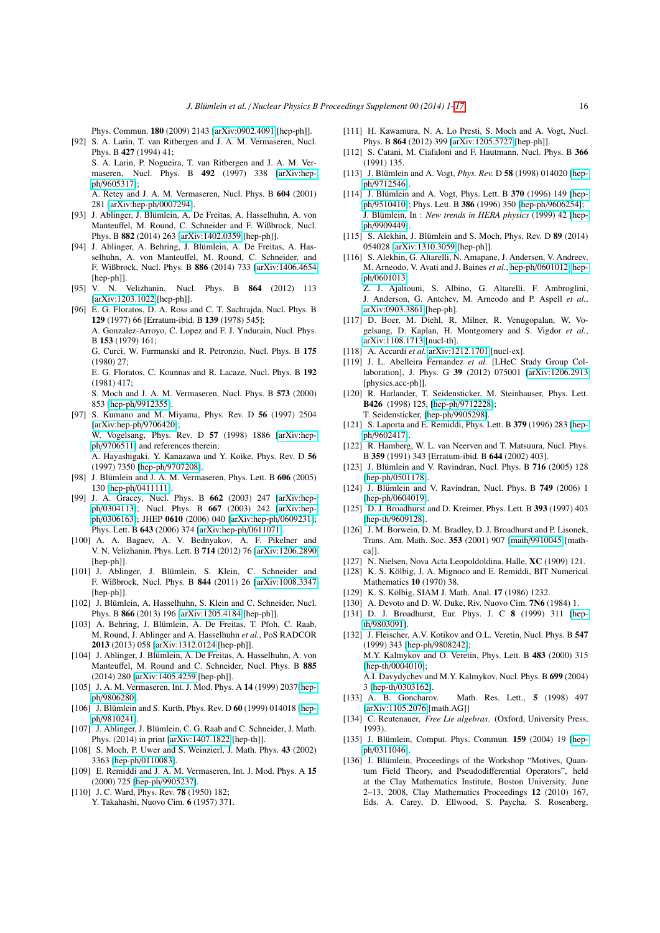Phys. Commun. 180 (2009) 2143 [\[arXiv:0902.4091](http://arxiv.org/abs/0902.4091) [hep-ph]].

- <span id="page-15-0"></span>[92] S. A. Larin, T. van Ritbergen and J. A. M. Vermaseren, Nucl. Phys. B 427 (1994) 41; S. A. Larin, P. Nogueira, T. van Ritbergen and J. A. M. Ver
	- maseren, Nucl. Phys. B 492 (1997) 338 [\[arXiv:hep](http://arxiv.org/abs/hep-ph/9605317)ph/[9605317\]](http://arxiv.org/abs/hep-ph/9605317);
	- A. Retey and J. A. M. Vermaseren, Nucl. Phys. B 604 (2001) 281 [\[arXiv:hep-ph](http://arxiv.org/abs/hep-ph/0007294)/0007294].
- <span id="page-15-1"></span>[93] J. Ablinger, J. Blümlein, A. De Freitas, A. Hasselhuhn, A. von Manteuffel, M. Round, C. Schneider and F. Wißbrock, Nucl. Phys. B 882 (2014) 263 [\[arXiv:1402.0359](http://arxiv.org/abs/1402.0359) [hep-ph]].
- <span id="page-15-2"></span>[94] J. Ablinger, A. Behring, J. Blümlein, A. De Freitas, A. Hasselhuhn, A. von Manteuffel, M. Round, C. Schneider, and F. Wißbrock, Nucl. Phys. B 886 (2014) 733 [\[arXiv:1406.4654](http://arxiv.org/abs/1406.4654) [hep-ph]].
- <span id="page-15-3"></span>[95] V. N. Velizhanin, Nucl. Phys. B 864 (2012) 113 [\[arXiv:1203.1022](http://arxiv.org/abs/1203.1022) [hep-ph]].
- <span id="page-15-4"></span>[96] E. G. Floratos, D. A. Ross and C. T. Sachrajda, Nucl. Phys. B 129 (1977) 66 [Erratum-ibid. B 139 (1978) 545]; A. Gonzalez-Arroyo, C. Lopez and F. J. Yndurain, Nucl. Phys. B 153 (1979) 161; G. Curci, W. Furmanski and R. Petronzio, Nucl. Phys. B 175

(1980) 27;

E. G. Floratos, C. Kounnas and R. Lacaze, Nucl. Phys. B 192 (1981) 417;

S. Moch and J. A. M. Vermaseren, Nucl. Phys. B 573 (2000) 853 [hep-ph/[9912355\]](http://arxiv.org/abs/hep-ph/9912355).

<span id="page-15-5"></span>[97] S. Kumano and M. Miyama, Phys. Rev. D 56 (1997) 2504 [\[arXiv:hep-ph](http://arxiv.org/abs/hep-ph/9706420)/9706420]; W. Vogelsang, Phys. Rev. D 57 (1998) 1886 [\[arXiv:hep](http://arxiv.org/abs/hep-ph/9706511)ph/[9706511\]](http://arxiv.org/abs/hep-ph/9706511) and references therein; A. Hayashigaki, Y. Kanazawa and Y. Koike, Phys. Rev. D 56

(1997) 7350 [hep-ph/[9707208\]](http://arxiv.org/abs/hep-ph/9707208).

- <span id="page-15-6"></span>[98] J. Blümlein and J. A. M. Vermaseren, Phys. Lett. B  $606$  (2005) 130 [hep-ph/[0411111\]](http://arxiv.org/abs/hep-ph/0411111).
- [99] J. A. Gracey, Nucl. Phys. B 662 (2003) 247 [\[arXiv:hep](http://arxiv.org/abs/hep-ph/0304113)ph/[0304113\]](http://arxiv.org/abs/hep-ph/0304113); Nucl. Phys. B 667 (2003) 242 [\[arXiv:hep](http://arxiv.org/abs/hep-ph/0306163)ph/[0306163\]](http://arxiv.org/abs/hep-ph/0306163); JHEP 0610 (2006) 040 [\[arXiv:hep-ph](http://arxiv.org/abs/hep-ph/0609231)/0609231]; Phys. Lett. B 643 (2006) 374 [\[arXiv:hep-ph](http://arxiv.org/abs/hep-ph/0611071)/0611071].
- <span id="page-15-7"></span>[100] A. A. Bagaev, A. V. Bednyakov, A. F. Pikelner and V. N. Velizhanin, Phys. Lett. B 714 (2012) 76 [\[arXiv:1206.2890](http://arxiv.org/abs/1206.2890) [hep-ph]].
- <span id="page-15-8"></span>[101] J. Ablinger, J. Blümlein, S. Klein, C. Schneider and F. Wißbrock, Nucl. Phys. B 844 (2011) 26 [\[arXiv:1008.3347](http://arxiv.org/abs/1008.3347) [hep-ph]].
- <span id="page-15-9"></span>[102] J. Blümlein, A. Hasselhuhn, S. Klein and C. Schneider, Nucl. Phys. B 866 (2013) 196 [\[arXiv:1205.4184](http://arxiv.org/abs/1205.4184) [hep-ph]].
- <span id="page-15-10"></span>[103] A. Behring, J. Blümlein, A. De Freitas, T. Pfoh, C. Raab, M. Round, J. Ablinger and A. Hasselhuhn *et al.*, PoS RADCOR 2013 (2013) 058 [\[arXiv:1312.0124](http://arxiv.org/abs/1312.0124) [hep-ph]].
- <span id="page-15-11"></span>[104] J. Ablinger, J. Blümlein, A. De Freitas, A. Hasselhuhn, A. von Manteuffel, M. Round and C. Schneider, Nucl. Phys. B 885 (2014) 280 [\[arXiv:1405.4259](http://arxiv.org/abs/1405.4259) [hep-ph]].
- <span id="page-15-12"></span>[105] J. A. M. Vermaseren, Int. J. Mod. Phys. A 14 (1999) 2037 [\[hep](http://arxiv.org/abs/hep-ph/9806280)ph/[9806280\]](http://arxiv.org/abs/hep-ph/9806280).
- <span id="page-15-13"></span>[106] J. Blümlein and S. Kurth, Phys. Rev. D  $60$  (1999) 014018 [\[hep](http://arxiv.org/abs/hep-ph/9810241)ph/[9810241\]](http://arxiv.org/abs/hep-ph/9810241).
- <span id="page-15-14"></span>[107] J. Ablinger, J. Blümlein, C. G. Raab and C. Schneider, J. Math. Phys. (2014) in print [\[arXiv:1407.1822](http://arxiv.org/abs/1407.1822) [hep-th]].
- <span id="page-15-15"></span>[108] S. Moch, P. Uwer and S. Weinzierl, J. Math. Phys. 43 (2002) 3363 [hep-ph/[0110083\]](http://arxiv.org/abs/hep-ph/0110083).
- <span id="page-15-16"></span>[109] E. Remiddi and J. A. M. Vermaseren, Int. J. Mod. Phys. A 15 (2000) 725 [hep-ph/[9905237\]](http://arxiv.org/abs/hep-ph/9905237).
- <span id="page-15-17"></span>[110] J. C. Ward, Phys. Rev. **78** (1950) 182; Y. Takahashi, Nuovo Cim. 6 (1957) 371.
- <span id="page-15-18"></span>[111] H. Kawamura, N. A. Lo Presti, S. Moch and A. Vogt, Nucl. Phys. B 864 (2012) 399 [\[arXiv:1205.5727](http://arxiv.org/abs/1205.5727) [hep-ph]].
- <span id="page-15-19"></span>[112] S. Catani, M. Ciafaloni and F. Hautmann, Nucl. Phys. B 366 (1991) 135.
- <span id="page-15-20"></span>[113] J. Blümlein and A. Vogt, *Phys. Rev.* D 58 (1998) 014020 [\[hep](http://arxiv.org/abs/hep-ph/9712546)ph/[9712546\]](http://arxiv.org/abs/hep-ph/9712546).
- <span id="page-15-21"></span>[114] J. Blümlein and A. Vogt, Phys. Lett. B 370 (1996) 149 [\[hep](http://arxiv.org/abs/hep-ph/9510410)ph/[9510410\]](http://arxiv.org/abs/hep-ph/9510410); Phys. Lett. B 386 (1996) 350 [hep-ph/[9606254\]](http://arxiv.org/abs/hep-ph/9606254); J. Blümlein, In : *New trends in HERA physics* (1999) 42 [\[hep](http://arxiv.org/abs/hep-ph/9909449)ph/[9909449\]](http://arxiv.org/abs/hep-ph/9909449).
- <span id="page-15-22"></span>[115] S. Alekhin, J. Blümlein and S. Moch, Phys. Rev. D 89 (2014) 054028 [\[arXiv:1310.3059](http://arxiv.org/abs/1310.3059) [hep-ph]].
- <span id="page-15-23"></span>[116] S. Alekhin, G. Altarelli, N. Amapane, J. Andersen, V. Andreev, M. Arneodo, V. Avati and J. Baines *et al.*, hep-ph/[0601012;](http://arxiv.org/abs/hep-ph/0601012) [hep](http://arxiv.org/abs/hep-ph/0601013)ph/[0601013;](http://arxiv.org/abs/hep-ph/0601013) Z. J. Ajaltouni, S. Albino, G. Altarelli, F. Ambroglini,
	- J. Anderson, G. Antchev, M. Arneodo and P. Aspell *et al.*, [arXiv:0903.3861](http://arxiv.org/abs/0903.3861) [hep-ph].
- <span id="page-15-24"></span>[117] D. Boer, M. Diehl, R. Milner, R. Venugopalan, W. Vogelsang, D. Kaplan, H. Montgomery and S. Vigdor *et al.*, [arXiv:1108.1713](http://arxiv.org/abs/1108.1713) [nucl-th].
- <span id="page-15-25"></span>[118] A. Accardi *et al.* [arXiv:1212.1701](http://arxiv.org/abs/1212.1701) [nucl-ex].
- <span id="page-15-26"></span>[119] J. L. Abelleira Fernandez *et al.* [LHeC Study Group Collaboration], J. Phys. G 39 (2012) 075001 [\[arXiv:1206.2913](http://arxiv.org/abs/1206.2913) [physics.acc-ph]].
- <span id="page-15-27"></span>[120] R. Harlander, T. Seidensticker, M. Steinhauser, Phys. Lett. B426 (1998) 125, [hep-ph/[9712228\]](http://arxiv.org/abs/hep-ph/9712228); T. Seidensticker, [hep-ph/[9905298\]](http://arxiv.org/abs/hep-ph/9905298).
- <span id="page-15-28"></span>[121] S. Laporta and E. Remiddi, Phys. Lett. B 379 (1996) 283 [\[hep](http://arxiv.org/abs/hep-ph/9602417)ph/[9602417\]](http://arxiv.org/abs/hep-ph/9602417).
- <span id="page-15-29"></span>[122] R. Hamberg, W. L. van Neerven and T. Matsuura, Nucl. Phys. B 359 (1991) 343 [Erratum-ibid. B 644 (2002) 403].
- <span id="page-15-30"></span>[123] J. Blümlein and V. Ravindran, Nucl. Phys. B  $716$  (2005) 128 [hep-ph/[0501178\]](http://arxiv.org/abs/hep-ph/0501178).
- <span id="page-15-31"></span>[124] J. Blümlein and V. Ravindran, Nucl. Phys. B 749 (2006) 1 [hep-ph/[0604019\]](http://arxiv.org/abs/hep-ph/0604019).
- <span id="page-15-32"></span>[125] D. J. Broadhurst and D. Kreimer, Phys. Lett. B 393 (1997) 403 [hep-th/[9609128\]](http://arxiv.org/abs/hep-th/9609128).
- <span id="page-15-33"></span>[126] J. M. Borwein, D. M. Bradley, D. J. Broadhurst and P. Lisonek, Trans. Am. Math. Soc. 353 (2001) 907 [math/[9910045](http://arxiv.org/abs/math/9910045) [mathca]].
- <span id="page-15-34"></span>[127] N. Nielsen, Nova Acta Leopoldoldina, Halle, XC (1909) 121.
- [128] K. S. Kölbig, J. A. Mignoco and E. Remiddi, BIT Numerical Mathematics 10 (1970) 38.
- [129] K. S. Kölbig, SIAM J. Math. Anal. 17 (1986) 1232.
- <span id="page-15-35"></span>[130] A. Devoto and D. W. Duke, Riv. Nuovo Cim. 7N6 (1984) 1.
- <span id="page-15-36"></span>[131] D. J. Broadhurst, Eur. Phys. J. C 8 (1999) 311 [\[hep](http://arxiv.org/abs/hep-th/9803091)th/[9803091\]](http://arxiv.org/abs/hep-th/9803091).
- <span id="page-15-37"></span>[132] J. Fleischer, A.V. Kotikov and O.L. Veretin, Nucl. Phys. B 547 (1999) 343 [hep-ph/[9808242\]](http://arxiv.org/abs/hep-ph/9808242);

M.Y. Kalmykov and O. Veretin, Phys. Lett. B 483 (2000) 315 [hep-th/[0004010\]](http://arxiv.org/abs/hep-th/0004010);

A.I. Davydychev and M.Y. Kalmykov, Nucl. Phys. B 699 (2004) 3 [hep-th/[0303162\]](http://arxiv.org/abs/hep-th/0303162).

- <span id="page-15-38"></span>[133] A. B. Goncharov. Math. Res. Lett., 5 (1998) 497 [\[arXiv:1105.2076](http://arxiv.org/abs/1105.2076) [math.AG]]
- <span id="page-15-39"></span>[134] C. Reutenauer, *Free Lie algebras*. (Oxford, University Press, 1993).
- <span id="page-15-40"></span>[135] J. Blümlein, Comput. Phys. Commun. 159 (2004) 19 [\[hep](http://arxiv.org/abs/hep-ph/0311046)ph/[0311046\]](http://arxiv.org/abs/hep-ph/0311046).
- <span id="page-15-41"></span>[136] J. Blümlein, Proceedings of the Workshop "Motives, Quantum Field Theory, and Pseudodifferential Operators", held at the Clay Mathematics Institute, Boston University, June 2–13, 2008, Clay Mathematics Proceedings 12 (2010) 167, Eds. A. Carey, D. Ellwood, S. Paycha, S. Rosenberg,